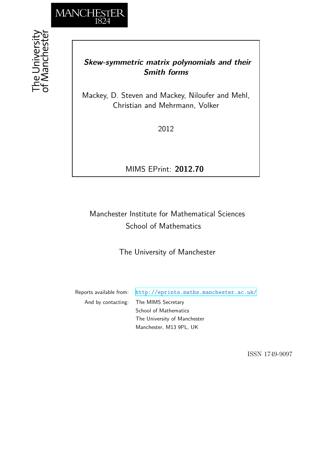

# *Skew-symmetric matrix polynomials and their Smith forms*

Mackey, D. Steven and Mackey, Niloufer and Mehl, Christian and Mehrmann, Volker

2012

MIMS EPrint: **2012.70**

# Manchester Institute for Mathematical Sciences School of Mathematics

The University of Manchester

Reports available from: <http://eprints.maths.manchester.ac.uk/> And by contacting: The MIMS Secretary School of Mathematics The University of Manchester Manchester, M13 9PL, UK

ISSN 1749-9097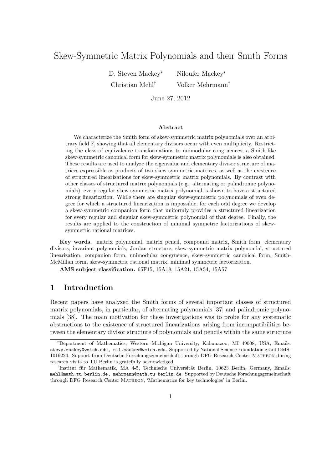# Skew-Symmetric Matrix Polynomials and their Smith Forms

D. Steven Mackey<sup>∗</sup> Niloufer Mackey<sup>∗</sup>

Christian Mehl*†* Volker Mehrmann*†*

June 27, 2012

#### **Abstract**

We characterize the Smith form of skew-symmetric matrix polynomials over an arbitrary field F, showing that all elementary divisors occur with even multiplicity. Restricting the class of equivalence transformations to unimodular congruences, a Smith-like skew-symmetric canonical form for skew-symmetric matrix polynomials is also obtained. These results are used to analyze the eigenvalue and elementary divisor structure of matrices expressible as products of two skew-symmetric matrices, as well as the existence of structured linearizations for skew-symmetric matrix polynomials. By contrast with other classes of structured matrix polynomials (e.g., alternating or palindromic polynomials), every regular skew-symmetric matrix polynomial is shown to have a structured strong linearization. While there are singular skew-symmetric polynomials of even degree for which a structured linearization is impossible, for each odd degree we develop a skew-symmetric companion form that uniformly provides a structured linearization for every regular and singular skew-symmetric polynomial of that degree. Finally, the results are applied to the construction of minimal symmetric factorizations of skewsymmetric rational matrices.

**Key words.** matrix polynomial, matrix pencil, compound matrix, Smith form, elementary divisors, invariant polynomials, Jordan structure, skew-symmetric matrix polynomial, structured linearization, companion form, unimodular congruence, skew-symmetric canonical form, Smith-McMillan form, skew-symmetric rational matrix, minimal symmetric factorization.

**AMS subject classification.** 65F15, 15A18, 15A21, 15A54, 15A57

# **1 Introduction**

Recent papers have analyzed the Smith forms of several important classes of structured matrix polynomials, in particular, of alternating polynomials [37] and palindromic polynomials [38]. The main motivation for these investigations was to probe for any systematic obstructions to the existence of structured linearizations arising from incompatibilities between the elementary divisor structure of polynomials and pencils within the same structure

*<sup>∗</sup>*Department of Mathematics, Western Michigan University, Kalamazoo, MI 49008, USA, Emails: steve.mackey@wmich.edu, nil.mackey@wmich.edu. Supported by National Science Foundation grant DMS-1016224. Support from Deutsche Forschungsgemeinschaft through DFG Research Center Matheon during research visits to TU Berlin is gratefully acknowledged.

<sup>&</sup>lt;sup>†</sup>Institut für Mathematik, MA 4-5, Technische Universität Berlin, 10623 Berlin, Germany, Emails: mehl@math.tu-berlin.de, mehrmann@math.tu-berlin.de. Supported by Deutsche Forschungsgemeinschaft through DFG Research Center Matheon, 'Mathematics for key technologies' in Berlin.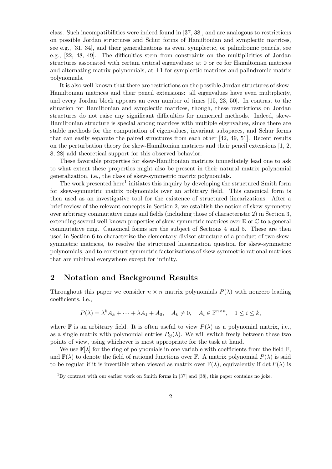class. Such incompatibilities were indeed found in [37, 38], and are analogous to restrictions on possible Jordan structures and Schur forms of Hamiltonian and symplectic matrices, see e.g., [31, 34], and their generalizations as even, symplectic, or palindromic pencils, see e.g., [22, 48, 49]. The difficulties stem from constraints on the multiplicities of Jordan structures associated with certain critical eigenvalues: at 0 or  $\infty$  for Hamiltonian matrices and alternating matrix polynomials, at  $\pm 1$  for symplectic matrices and palindromic matrix polynomials.

It is also well-known that there are restrictions on the possible Jordan structures of skew-Hamiltonian matrices and their pencil extensions: all eigenvalues have even multiplicity, and every Jordan block appears an even number of times [15, 23, 50]. In contrast to the situation for Hamiltonian and symplectic matrices, though, these restrictions on Jordan structures do not raise any significant difficulties for numerical methods. Indeed, skew-Hamiltonian structure is special among matrices with multiple eigenvalues, since there are stable methods for the computation of eigenvalues, invariant subspaces, and Schur forms that can easily separate the paired structures from each other [42, 49, 51]. Recent results on the perturbation theory for skew-Hamiltonian matrices and their pencil extensions [1, 2, 8, 28] add theoretical support for this observed behavior.

These favorable properties for skew-Hamiltonian matrices immediately lead one to ask to what extent these properties might also be present in their natural matrix polynomial generalization, i.e., the class of skew-symmetric matrix polynomials.

The work presented here<sup>1</sup> initiates this inquiry by developing the structured Smith form for skew-symmetric matrix polynomials over an arbitrary field. This canonical form is then used as an investigative tool for the existence of structured linearizations. After a brief review of the relevant concepts in Section 2, we establish the notion of skew-symmetry over arbitrary commutative rings and fields (including those of characteristic 2) in Section 3, extending several well-known properties of skew-symmetric matrices over R or C to a general commutative ring. Canonical forms are the subject of Sections 4 and 5. These are then used in Section 6 to characterize the elementary divisor structure of a product of two skewsymmetric matrices, to resolve the structured linearization question for skew-symmetric polynomials, and to construct symmetric factorizations of skew-symmetric rational matrices that are minimal everywhere except for infinity.

# **2 Notation and Background Results**

Throughout this paper we consider  $n \times n$  matrix polynomials  $P(\lambda)$  with nonzero leading coefficients, i.e.,

$$
P(\lambda) = \lambda^k A_k + \dots + \lambda A_1 + A_0, \quad A_k \neq 0, \quad A_i \in \mathbb{F}^{n \times n}, \quad 1 \leq i \leq k,
$$

where F is an arbitrary field. It is often useful to view  $P(\lambda)$  as a polynomial matrix, i.e., as a single matrix with polynomial entries  $P_{ij}(\lambda)$ . We will switch freely between these two points of view, using whichever is most appropriate for the task at hand.

We use  $\mathbb{F}[\lambda]$  for the ring of polynomials in one variable with coefficients from the field  $\mathbb{F}$ , and  $\mathbb{F}(\lambda)$  to denote the field of rational functions over  $\mathbb{F}$ . A matrix polynomial  $P(\lambda)$  is said to be regular if it is invertible when viewed as matrix over  $\mathbb{F}(\lambda)$ , equivalently if det  $P(\lambda)$  is

<sup>1</sup>By contrast with our earlier work on Smith forms in [37] and [38], this paper contains no joke.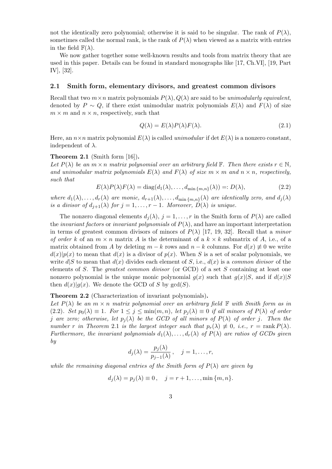not the identically zero polynomial; otherwise it is said to be singular. The rank of  $P(\lambda)$ , sometimes called the normal rank, is the rank of  $P(\lambda)$  when viewed as a matrix with entries in the field  $\mathbb{F}(\lambda)$ .

We now gather together some well-known results and tools from matrix theory that are used in this paper. Details can be found in standard monographs like [17, Ch.VI], [19, Part IV], [32].

### **2.1 Smith form, elementary divisors, and greatest common divisors**

Recall that two  $m \times n$  matrix polynomials  $P(\lambda), Q(\lambda)$  are said to be *unimodularly equivalent*, denoted by  $P \sim Q$ , if there exist unimodular matrix polynomials  $E(\lambda)$  and  $F(\lambda)$  of size  $m \times m$  and  $n \times n$ , respectively, such that

$$
Q(\lambda) = E(\lambda)P(\lambda)F(\lambda).
$$
\n(2.1)

Here, an  $n \times n$  matrix polynomial  $E(\lambda)$  is called *unimodular* if det  $E(\lambda)$  is a nonzero constant, independent of *λ*.

### **Theorem 2.1** (Smith form [16])**.**

*Let*  $P(\lambda)$  *be an*  $m \times n$  *matrix polynomial over an arbitrary field* **F***. Then there exists*  $r \in \mathbb{N}$ *, and unimodular matrix polynomials*  $E(\lambda)$  *and*  $F(\lambda)$  *of size*  $m \times m$  *and*  $n \times n$ *, respectively, such that*

$$
E(\lambda)P(\lambda)F(\lambda) = \text{diag}(d_1(\lambda), \dots, d_{\text{min}\{m, n\}}(\lambda)) =: D(\lambda),
$$
\n(2.2)

where  $d_1(\lambda), \ldots, d_r(\lambda)$  are monic,  $d_{r+1}(\lambda), \ldots, d_{\min\{m,n\}}(\lambda)$  are identically zero, and  $d_j(\lambda)$ *is a divisor of*  $d_{j+1}(\lambda)$  *for*  $j = 1, \ldots, r - 1$ *. Moreover,*  $D(\lambda)$  *is unique.* 

The nonzero diagonal elements  $d_j(\lambda)$ ,  $j = 1, \ldots, r$  in the Smith form of  $P(\lambda)$  are called the *invariant factors* or *invariant polynomials* of  $P(\lambda)$ , and have an important interpretation in terms of greatest common divisors of minors of  $P(\lambda)$  [17, 19, 32]. Recall that a *minor of order k* of an  $m \times n$  matrix *A* is the determinant of a  $k \times k$  submatrix of *A*, i.e., of a matrix obtained from *A* by deleting  $m - k$  rows and  $n - k$  columns. For  $d(x) \neq 0$  we write  $d(x)|p(x)$  to mean that  $d(x)$  is a divisor of  $p(x)$ . When *S* is a set of scalar polynomials, we write  $d\mathbf{S}$  to mean that  $d(x)$  divides each element of *S*, i.e.,  $d(x)$  is a *common divisor* of the elements of *S*. The *greatest common divisor* (or GCD) of a set *S* containing at least one nonzero polynomial is the unique monic polynomial  $g(x)$  such that  $g(x)|S$ , and if  $d(x)|S$ then  $d(x)|g(x)$ . We denote the GCD of *S* by  $gcd(S)$ .

### **Theorem 2.2** (Characterization of invariant polynomials)**.**

*Let*  $P(\lambda)$  *be an*  $m \times n$  *matrix polynomial over an arbitrary field*  $\mathbb F$  *with Smith form as in* (2.2)*. Set*  $p_0(\lambda) \equiv 1$ *. For*  $1 \leq j \leq \min(m, n)$ *, let*  $p_j(\lambda) \equiv 0$  *if all minors of*  $P(\lambda)$  *of order j* are zero; otherwise, let  $p_i(\lambda)$  be the GCD of all minors of  $P(\lambda)$  of order *j*. Then the *number r in Theorem* 2.1 *is the largest integer such that*  $p_r(\lambda) \neq 0$ , *i.e.*,  $r = \text{rank } P(\lambda)$ . *Furthermore, the invariant polynomials*  $d_1(\lambda), \ldots, d_r(\lambda)$  *of*  $P(\lambda)$  *are ratios of GCDs given by*

$$
d_j(\lambda) = \frac{p_j(\lambda)}{p_{j-1}(\lambda)}, \quad j = 1, \dots, r,
$$

*while the remaining diagonal entries of the Smith form of*  $P(\lambda)$  *are given by* 

$$
d_j(\lambda) = p_j(\lambda) \equiv 0, \quad j = r + 1, \dots, \min\{m, n\}.
$$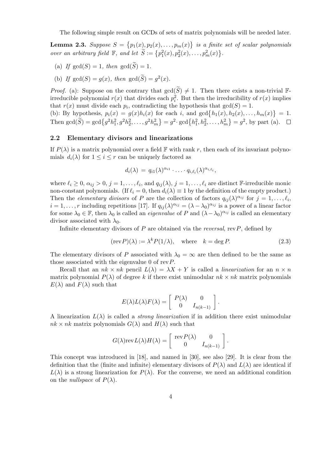The following simple result on GCDs of sets of matrix polynomials will be needed later.

**Lemma 2.3.** *Suppose*  $S = \{p_1(x), p_2(x), \ldots, p_m(x)\}$  *is a finite set of scalar polynomials over an arbitrary field*  $\mathbb{F}$ *, and let*  $\widetilde{S} := \{p_1^2(x), p_2^2(x), \ldots, p_m^2(x)\}.$ 

- (a) If  $gcd(S) = 1$ , then  $gcd(\widetilde{S}) = 1$ .
- (b) If  $gcd(S) = g(x)$ , then  $gcd(\widetilde{S}) = g^2(x)$ .

*Proof.* (a): Suppose on the contrary that  $gcd(\widetilde{S}) \neq 1$ . Then there exists a non-trivial Firreducible polynomial  $r(x)$  that divides each  $p_i^2$ . But then the irreducibility of  $r(x)$  implies that  $r(x)$  must divide each  $p_i$ , contradicting the hypothesis that  $gcd(S) = 1$ . (b): By hypothesis,  $p_i(x) = g(x)h_i(x)$  for each *i*, and  $gcd\{h_1(x), h_2(x), \ldots, h_m(x)\} = 1$ .

Then  $\gcd(\widetilde{S}) = \gcd\{g^2h_1^2, g^2h_2^2, \dots, g^2h_m^2\} = g^2 \cdot \gcd\{h_1^2, h_2^2, \dots, h_m^2\} = g^2$ , by part (a).

### **2.2 Elementary divisors and linearizations**

If  $P(\lambda)$  is a matrix polynomial over a field F with rank r, then each of its invariant polynomials  $d_i(\lambda)$  for  $1 \leq i \leq r$  can be uniquely factored as

$$
d_i(\lambda) = q_{i1}(\lambda)^{\alpha_{i1}} \cdot \ldots \cdot q_{i,\ell_i}(\lambda)^{\alpha_{i,\ell_i}},
$$

where  $\ell_i \geq 0$ ,  $\alpha_{ij} > 0$ ,  $j = 1, \ldots, \ell_i$ , and  $q_{ij}(\lambda)$ ,  $j = 1, \ldots, \ell_i$  are distinct F-irreducible monic non-constant polynomials. (If  $\ell_i = 0$ , then  $d_i(\lambda) \equiv 1$  by the definition of the empty product.) Then the *elementary divisors* of *P* are the collection of factors  $q_{ij}(\lambda)^{\alpha_{ij}}$  for  $j = 1, \ldots, \ell_i$ ,  $i = 1, \ldots, r$  including repetitions [17]. If  $q_{ij}(\lambda)^{\alpha_{ij}} = (\lambda - \lambda_0)^{\alpha_{ij}}$  is a power of a linear factor for some  $\lambda_0 \in \mathbb{F}$ , then  $\lambda_0$  is called an *eigenvalue* of *P* and  $(\lambda - \lambda_0)^{\alpha_{ij}}$  is called an elementary divisor associated with  $\lambda_0$ .

Infinite elementary divisors of *P* are obtained via the *reversal*, rev*P*, defined by

$$
(\text{rev } P)(\lambda) := \lambda^k P(1/\lambda), \quad \text{where} \quad k = \text{deg } P. \tag{2.3}
$$

The elementary divisors of *P* associated with  $\lambda_0 = \infty$  are then defined to be the same as those associated with the eigenvalue 0 of rev*P*.

Recall that an  $nk \times nk$  pencil  $L(\lambda) = \lambda X + Y$  is called a *linearization* for an  $n \times n$ matrix polynomial  $P(\lambda)$  of degree k if there exist unimodular  $nk \times nk$  matrix polynomials  $E(\lambda)$  and  $F(\lambda)$  such that

$$
E(\lambda)L(\lambda)F(\lambda) = \begin{bmatrix} P(\lambda) & 0 \\ 0 & I_{n(k-1)} \end{bmatrix}.
$$

A linearization  $L(\lambda)$  is called a *strong linearization* if in addition there exist unimodular  $nk \times nk$  matrix polynomials  $G(\lambda)$  and  $H(\lambda)$  such that

$$
G(\lambda) \text{rev}\,L(\lambda)H(\lambda) = \left[ \begin{array}{cc} \text{rev}\,P(\lambda) & 0 \\ 0 & I_{n(k-1)} \end{array} \right].
$$

This concept was introduced in [18], and named in [30], see also [29]. It is clear from the definition that the (finite and infinite) elementary divisors of  $P(\lambda)$  and  $L(\lambda)$  are identical if  $L(\lambda)$  is a strong linearization for  $P(\lambda)$ . For the converse, we need an additional condition on the *nullspace* of  $P(\lambda)$ .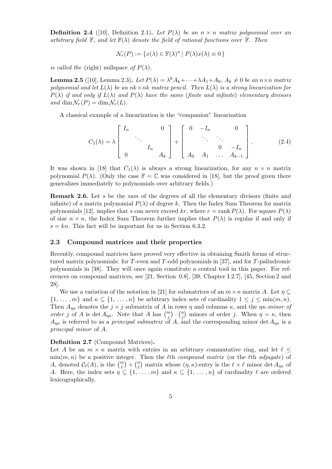**Definition 2.4** ([10], Definition 2.1)**.** Let  $P(\lambda)$  be an  $n \times n$  matrix polynomial over an *arbitrary field*  $\mathbb{F}$ *, and let*  $\mathbb{F}(\lambda)$  *denote the field of rational functions over*  $\mathbb{F}$ *. Then* 

$$
\mathcal{N}_r(P) := \{ x(\lambda) \in \mathbb{F}(\lambda)^n \mid P(\lambda)x(\lambda) \equiv 0 \}
$$

*is called the* (right) nullspace *of*  $P(\lambda)$ .

**Lemma 2.5** ([10], Lemma 2.3). Let  $P(\lambda) = \lambda^k A_k + \cdots + \lambda A_1 + A_0$ ,  $A_k \neq 0$  be an  $n \times n$  matrix *polynomial and let*  $L(\lambda)$  *be an*  $nk \times nk$  *matrix pencil. Then*  $L(\lambda)$  *is a strong linearization for P*( $\lambda$ ) *if and only if*  $L(\lambda)$  *and*  $P(\lambda)$  *have the same* (*finite and infinite*) *elementary divisors*  $and \dim \mathcal{N}_r(P) = \dim \mathcal{N}_r(L)$ .

A classical example of a linearization is the "companion" linearization

$$
C_1(\lambda) = \lambda \begin{bmatrix} I_n & & & 0 \\ & \ddots & & \\ & & I_n & \\ 0 & & & A_k \end{bmatrix} + \begin{bmatrix} 0 & -I_n & & 0 \\ & \ddots & \ddots & \\ & & 0 & -I_n \\ A_0 & A_1 & \dots & A_{k-1} \end{bmatrix} .
$$
 (2.4)

It was shown in [18] that  $C_1(\lambda)$  is always a strong linearization, for any  $n \times n$  matrix polynomial  $P(\lambda)$ . (Only the case  $\mathbb{F} = \mathbb{C}$  was considered in [18], but the proof given there generalizes immediately to polynomials over arbitrary fields.)

**Remark 2.6.** Let *s* be the *sum* of the degrees of all the elementary divisors (finite and infinite) of a matrix polynomial  $P(\lambda)$  of degree k. Then the Index Sum Theorem for matrix polynomials [12], implies that *s* can never exceed *kr*, where  $r = \text{rank } P(\lambda)$ . For square  $P(\lambda)$ of size  $n \times n$ , the Index Sum Theorem further implies that  $P(\lambda)$  is regular if and only if  $s = kn$ . This fact will be important for us in Section 6.3.2.

### **2.3 Compound matrices and their properties**

Recently, compound matrices have proved very effective in obtaining Smith forms of structured matrix polynomials: for *T*-even and *T*-odd polynomials in [37], and for *T*-palindromic polynomials in [38]. They will once again constitute a central tool in this paper. For references on compound matrices, see [21, Section 0.8], [39, Chapter I.2.7], [45, Section 2 and 28].

We use a variation of the notation in [21] for submatrices of an  $m \times n$  matrix *A*. Let  $\eta \subseteq$  $\{1, \ldots, m\}$  and  $\kappa \subseteq \{1, \ldots, n\}$  be arbitrary index sets of cardinality  $1 \leq j \leq \min(m, n)$ . Then  $A_{\eta\kappa}$  denotes the  $j \times j$  submatrix of *A* in rows  $\eta$  and columns  $\kappa$ , and the  $\eta\kappa$ *-minor of order j* of *A* is det  $A_{\eta\kappa}$ . Note that *A* has  $\binom{m}{j} \cdot \binom{n}{j}$  $\binom{n}{j}$  minors of order *j*. When  $\eta = \kappa$ , then  $A_{\eta\kappa}$  is referred to as a *principal submatrix* of *A*, and the corresponding minor det  $A_{\eta\kappa}$  is a *principal minor* of *A*.

**Definition 2.7** (Compound Matrices)**.**

Let *A* be an  $m \times n$  matrix with entries in an arbitrary commutative ring, and let  $\ell \leq$  $\min(m, n)$  be a positive integer. Then the *l*th *compound matrix* (or the *l*th *adjugate*) of *A*, denoted  $\mathcal{C}_{\ell}(A)$ , is the  $\binom{m}{\ell} \times \binom{n}{\ell}$  $\binom{n}{\ell}$  matrix whose  $(\eta, \kappa)$ -entry is the  $\ell \times \ell$  minor det  $A_{\eta\kappa}$  of *A*. Here, the index sets  $\eta \subseteq \{1, \ldots, m\}$  and  $\kappa \subseteq \{1, \ldots, n\}$  of cardinality  $\ell$  are ordered lexicographically.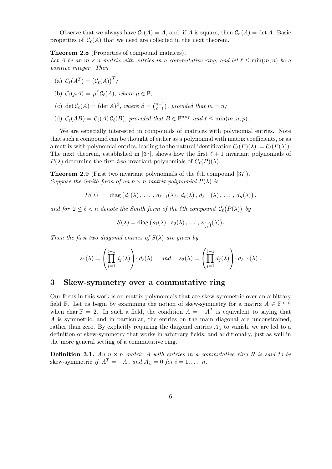Observe that we always have  $C_1(A) = A$ , and, if *A* is square, then  $C_n(A) = \det A$ . Basic properties of  $C_{\ell}(A)$  that we need are collected in the next theorem.

**Theorem 2.8** (Properties of compound matrices)**.**

Let *A* be an  $m \times n$  matrix with entries in a commutative ring, and let  $\ell \leq \min(m, n)$  be a *positive integer. Then*

(a) 
$$
\mathcal{C}_{\ell}(A^T) = (\mathcal{C}_{\ell}(A))^T
$$
;

(b) 
$$
C_{\ell}(\mu A) = \mu^{\ell} C_{\ell}(A)
$$
, where  $\mu \in \mathbb{F}$ ;

(c) 
$$
\det \mathcal{C}_{\ell}(A) = (\det A)^{\beta}
$$
, where  $\beta = \binom{n-1}{\ell-1}$ , provided that  $m = n$ ;

(d)  $\mathcal{C}_{\ell}(AB) = \mathcal{C}_{\ell}(A)\mathcal{C}_{\ell}(B)$ *, provided that*  $B \in \mathbb{F}^{n \times p}$  and  $\ell \leq \min(m, n, p)$ *.* 

We are especially interested in compounds of matrices with polynomial entries. Note that such a compound can be thought of either as a polynomial with matrix coefficients, or as a matrix with polynomial entries, leading to the natural identification  $\mathcal{C}_{\ell}(P)(\lambda) := \mathcal{C}_{\ell}(P(\lambda)).$ The next theorem, established in [37], shows how the first  $\ell + 1$  invariant polynomials of  $P(\lambda)$  determine the first *two* invariant polynomials of  $C_{\ell}(P)(\lambda)$ .

**Theorem 2.9** (First two invariant polynomials of the  $\ell$ th compound [37]). *Suppose the Smith form of an*  $n \times n$  *matrix polynomial*  $P(\lambda)$  *is* 

$$
D(\lambda) = \text{ diag}(d_1(\lambda), \ldots, d_{\ell-1}(\lambda), d_{\ell}(\lambda), d_{\ell+1}(\lambda), \ldots, d_n(\lambda)),
$$

*and for*  $2 \leq \ell < n$  *denote the Smith form of the*  $\ell$ *th compound*  $\mathcal{C}_{\ell}(P(\lambda))$  *by* 

$$
S(\lambda) = \mathrm{diag}\left(s_1(\lambda), s_2(\lambda), \ldots, s_{\binom{n}{\ell}}(\lambda)\right).
$$

*Then the first two diagonal entries of*  $S(\lambda)$  *are given by* 

$$
s_1(\lambda) = \left(\prod_{j=1}^{\ell-1} d_j(\lambda)\right) \cdot d_\ell(\lambda) \quad \text{and} \quad s_2(\lambda) = \left(\prod_{j=1}^{\ell-1} d_j(\lambda)\right) \cdot d_{\ell+1}(\lambda) \; .
$$

# **3 Skew-symmetry over a commutative ring**

Our focus in this work is on matrix polynomials that are skew-symmetric over an arbitrary field  $\mathbb{F}$ . Let us begin by examining the notion of skew-symmetry for a matrix  $A \in \mathbb{F}^{n \times n}$ when char  $\mathbb{F} = 2$ . In such a field, the condition  $A = -A^T$  is equivalent to saying that *A* is symmetric, and in particular, the entries on the main diagonal are unconstrained, rather than zero. By explicitly requiring the diagonal entries  $A_{ii}$  to vanish, we are led to a definition of skew-symmetry that works in arbitrary fields, and additionally, just as well in the more general setting of a commutative ring.

**Definition 3.1.** An  $n \times n$  matrix A with entries in a commutative ring R is said to be skew-symmetric *if*  $A^T = -A$ *, and*  $A_{ii} = 0$  *for*  $i = 1, \ldots, n$ *.*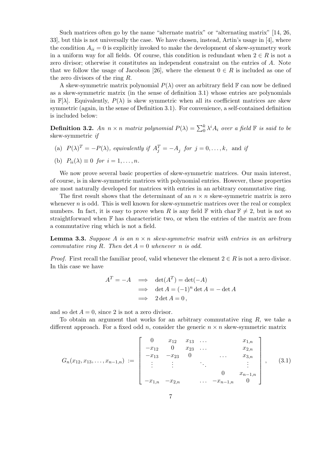Such matrices often go by the name "alternate matrix" or "alternating matrix" [14, 26, 33], but this is not universally the case. We have chosen, instead, Artin's usage in [4], where the condition  $A_{ii} = 0$  is explicitly invoked to make the development of skew-symmetry work in a uniform way for all fields. Of course, this condition is redundant when  $2 \in R$  is not a zero divisor; otherwise it constitutes an independent constraint on the entries of *A*. Note that we follow the usage of Jacobson [26], where the element  $0 \in R$  is included as one of the zero divisors of the ring *R*.

A skew-symmetric matrix polynomial  $P(\lambda)$  over an arbitrary field  $\mathbb F$  can now be defined as a skew-symmetric matrix (in the sense of definition 3.1) whose entries are polynomials in  $\mathbb{F}[\lambda]$ . Equivalently,  $P(\lambda)$  is skew symmetric when all its coefficient matrices are skew symmetric (again, in the sense of Definition 3.1). For convenience, a self-contained definition is included below:

**Definition 3.2.** *An*  $n \times n$  *matrix polynomial*  $P(\lambda) = \sum_{i=0}^{k} \lambda^{i} A_{i}$  *over a field*  $\mathbb{F}$  *is said to be* skew-symmetric *if*

(a)  $P(\lambda)^T = -P(\lambda)$ *, equivalently if*  $A_j^T = -A_j$  *for*  $j = 0, \ldots, k$ *,* and *if* 

(b) 
$$
P_{ii}(\lambda) \equiv 0
$$
 for  $i = 1, ..., n$ .

We now prove several basic properties of skew-symmetric matrices. Our main interest, of course, is in skew-symmetric matrices with polynomial entries. However, these properties are most naturally developed for matrices with entries in an arbitrary commutative ring.

The first result shows that the determinant of an  $n \times n$  skew-symmetric matrix is zero whenever  $n$  is odd. This is well known for skew-symmetric matrices over the real or complex numbers. In fact, it is easy to prove when *R* is any field  $\mathbb{F}$  with char  $\mathbb{F} \neq 2$ , but is not so straightforward when F has characteristic two, or when the entries of the matrix are from a commutative ring which is not a field.

**Lemma 3.3.** *Suppose A is an n × n skew-symmetric matrix with entries in an arbitrary commutative ring*  $R$ *. Then*  $\det A = 0$  *whenever*  $n$  *is odd.* 

*Proof.* First recall the familiar proof, valid whenever the element  $2 \in R$  is not a zero divisor. In this case we have

$$
AT = -A \implies \det(AT) = \det(-A)
$$
  

$$
\implies \det A = (-1)^n \det A = -\det A
$$
  

$$
\implies 2 \det A = 0,
$$

and so det  $A = 0$ , since 2 is not a zero divisor.

To obtain an argument that works for an arbitrary commutative ring *R*, we take a different approach. For a fixed odd *n*, consider the generic  $n \times n$  skew-symmetric matrix

$$
G_n(x_{12}, x_{13}, \ldots, x_{n-1,n}) := \begin{bmatrix} 0 & x_{12} & x_{13} & \ldots & x_{1,n} \\ -x_{12} & 0 & x_{23} & \ldots & x_{2,n} \\ -x_{13} & -x_{23} & 0 & \ldots & x_{3,n} \\ \vdots & \vdots & & \ddots & \vdots \\ -x_{1,n} & -x_{2,n} & \ldots & -x_{n-1,n} & 0 \end{bmatrix}, \quad (3.1)
$$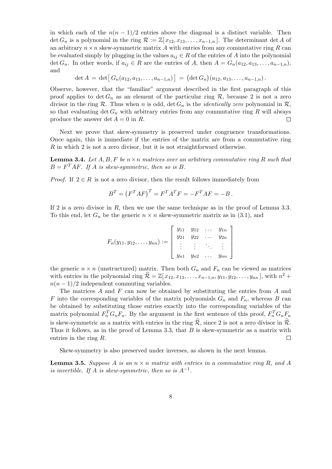in which each of the  $n(n-1)/2$  entries above the diagonal is a distinct variable. Then det  $G_n$  is a polynomial in the ring  $\mathcal{R} := \mathbb{Z}[x_{12}, x_{13}, \ldots, x_{n-1,n}]$ . The determinant det *A* of an arbitrary  $n \times n$  skew-symmetric matrix A with entries from any commutative ring R can be evaluated simply by plugging in the values  $a_{ij} \in R$  of the entries of *A* into the polynomial det  $G_n$ . In other words, if  $a_{ij} \in R$  are the entries of *A*, then  $A = G_n(a_{12}, a_{13}, \ldots, a_{n-1,n})$ , and

$$
\det A = \det [G_n(a_{12}, a_{13}, \ldots, a_{n-1,n})] = (\det G_n)(a_{12}, a_{13}, \ldots, a_{n-1,n}).
$$

Observe, however, that the "familiar" argument described in the first paragraph of this proof applies to  $\det G_n$  as an element of the particular ring R, because 2 is not a zero divisor in the ring  $R$ . Thus when *n* is odd, det  $G_n$  is the *identically zero* polynomial in  $R$ , so that evaluating  $\det G_n$  with arbitrary entries from any commutative ring  $R$  will always produce the answer  $\det A = 0$  in *R*.  $\Box$ 

Next we prove that skew-symmetry is preserved under congruence transformations. Once again, this is immediate if the entries of the matrix are from a commutative ring *R* in which 2 is not a zero divisor, but it is not straightforward otherwise.

**Lemma 3.4.** Let  $A, B, F$  be  $n \times n$  matrices over an arbitrary commutative ring  $R$  such that  $B = F<sup>T</sup> AF$ *.* If *A is skew-symmetric, then so is B.* 

*Proof.* If  $2 \in R$  is not a zero divisor, then the result follows immediately from

$$
BT = (FT AF)T = FT AT F = -FT AF = -B.
$$

If 2 is a zero divisor in *R*, then we use the same technique as in the proof of Lemma 3.3. To this end, let  $G_n$  be the generic  $n \times n$  skew-symmetric matrix as in (3.1), and

$$
F_n(y_{11}, y_{12}, \dots, y_{nn}) := \begin{bmatrix} y_{11} & y_{12} & \cdots & y_{1n} \\ y_{21} & y_{22} & \cdots & y_{2n} \\ \vdots & \vdots & \ddots & \vdots \\ y_{n1} & y_{n2} & \cdots & y_{nn} \end{bmatrix}
$$

the generic  $n \times n$  (unstructured) matrix. Then both  $G_n$  and  $F_n$  can be viewed as matrices with entries in the polynomial ring  $\widehat{\mathcal{R}} = \mathbb{Z}[x_{12}, x_{13}, \ldots, x_{n-1,n}, y_{11}, y_{12}, \ldots, y_{nn}],$  with  $n^2 +$  $n(n-1)/2$  independent commuting variables.

The matrices *A* and *F* can now be obtained by substituting the entries from *A* and *F* into the corresponding variables of the matrix polynomials  $G_n$  and  $F_n$ , whereas *B* can be obtained by substituting those entries exactly into the corresponding variables of the matrix polynomial  $F_n^T G_n F_n$ . By the argument in the first sentence of this proof,  $F_n^T G_n F_n$ is skew-symmetric as a matrix with entries in the ring  $\hat{\mathcal{R}}$ , since 2 is not a zero divisor in  $\hat{\mathcal{R}}$ . Thus it follows, as in the proof of Lemma 3.3, that *B* is skew-symmetric as a matrix with entries in the ring *R*.  $\Box$ 

Skew-symmetry is also preserved under inverses, as shown in the next lemma.

**Lemma 3.5.** *Suppose A is an*  $n \times n$  *matrix with entries in a commutative ring R, and A is invertible. If A is skew-symmetric, then so is*  $A^{-1}$ *.*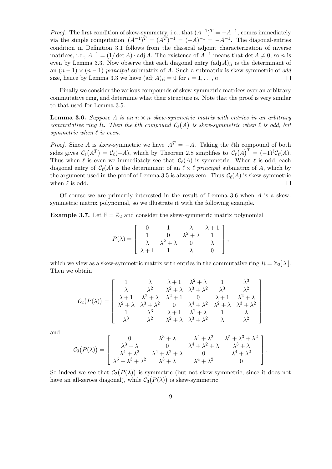*Proof.* The first condition of skew-symmetry, i.e., that  $(A^{-1})^T = -A^{-1}$ , comes immediately via the simple computation  $(A^{-1})^T = (A^T)^{-1} = (-A)^{-1} = -A^{-1}$ . The diagonal-entries condition in Definition 3.1 follows from the classical adjoint characterization of inverse matrices, i.e.,  $A^{-1} = (1/\det A) \cdot \text{adj } A$ . The existence of  $A^{-1}$  means that  $\det A \neq 0$ , so *n* is even by Lemma 3.3. Now observe that each diagonal entry  $(\text{adj } A)_{ii}$  is the determinant of an (*n −* 1) *×* (*n −* 1) *principal* submatrix of *A*. Such a submatrix is skew-symmetric of *odd* size, hence by Lemma 3.3 we have  $(\text{adj } A)_{ii} = 0$  for  $i = 1, \ldots, n$ .  $\Box$ 

Finally we consider the various compounds of skew-symmetric matrices over an arbitrary commutative ring, and determine what their structure is. Note that the proof is very similar to that used for Lemma 3.5.

**Lemma 3.6.** *Suppose A is an*  $n \times n$  *skew-symmetric matrix with entries in an arbitrary commutative ring R.* Then the  $\ell$ th compound  $C_{\ell}(A)$  *is skew-symmetric when*  $\ell$  *is odd, but symmetric when*  $\ell$  *is even.* 

*Proof.* Since *A* is skew-symmetric we have  $A^T = -A$ . Taking the  $\ell$ th compound of both sides gives  $\mathcal{C}_{\ell}(A^T) = \mathcal{C}_{\ell}(-A)$ , which by Theorem 2.8 simplifies to  $\mathcal{C}_{\ell}(A)^T = (-1)^{\ell} \mathcal{C}_{\ell}(A)$ . Thus when  $\ell$  is even we immediately see that  $C_{\ell}(A)$  is symmetric. When  $\ell$  is odd, each diagonal entry of  $C_{\ell}(A)$  is the determinant of an  $\ell \times \ell$  principal submatrix of A, which by the argument used in the proof of Lemma 3.5 is always zero. Thus  $\mathcal{C}_{\ell}(A)$  is skew-symmetric when  $\ell$  is odd.  $\Box$ 

Of course we are primarily interested in the result of Lemma 3.6 when *A* is a skewsymmetric matrix polynomial, so we illustrate it with the following example.

**Example 3.7.** Let  $\mathbb{F} = \mathbb{Z}_2$  and consider the skew-symmetric matrix polynomial

$$
P(\lambda) = \left[ \begin{array}{cccc} 0 & 1 & \lambda & \lambda + 1 \\ 1 & 0 & \lambda^2 + \lambda & 1 \\ \lambda & \lambda^2 + \lambda & 0 & \lambda \\ \lambda + 1 & 1 & \lambda & 0 \end{array} \right],
$$

which we view as a skew-symmetric matrix with entries in the commutative ring  $R = \mathbb{Z}_2[\lambda]$ . Then we obtain

$$
\mathcal{C}_2(P(\lambda)) = \left[\begin{array}{ccccc} 1 & \lambda & \lambda+1 & \lambda^2+\lambda & 1 & \lambda^3 \\ \lambda & \lambda^2 & \lambda^2+\lambda & \lambda^3+\lambda^2 & \lambda^3 & \lambda^2 \\ \lambda+1 & \lambda^2+\lambda & \lambda^2+1 & 0 & \lambda+1 & \lambda^2+\lambda \\ \lambda^2+\lambda & \lambda^3+\lambda^2 & 0 & \lambda^4+\lambda^2 & \lambda^2+\lambda & \lambda^3+\lambda^2 \\ 1 & \lambda^3 & \lambda+1 & \lambda^2+\lambda & 1 & \lambda \\ \lambda^3 & \lambda^2 & \lambda^2+\lambda & \lambda^3+\lambda^2 & \lambda & \lambda^2 \end{array}\right]
$$

and

$$
\mathcal{C}_3(P(\lambda)) = \left[ \begin{array}{cccc} 0 & \lambda^3 + \lambda & \lambda^4 + \lambda^2 & \lambda^5 + \lambda^3 + \lambda^2 \\ \lambda^3 + \lambda & 0 & \lambda^4 + \lambda^2 + \lambda & \lambda^3 + \lambda \\ \lambda^4 + \lambda^2 & \lambda^4 + \lambda^2 + \lambda & 0 & \lambda^4 + \lambda^2 \\ \lambda^5 + \lambda^3 + \lambda^2 & \lambda^3 + \lambda & \lambda^4 + \lambda^2 & 0 \end{array} \right].
$$

So indeed we see that  $C_2(P(\lambda))$  is symmetric (but not skew-symmetric, since it does not have an all-zeroes diagonal), while  $C_3(P(\lambda))$  is skew-symmetric.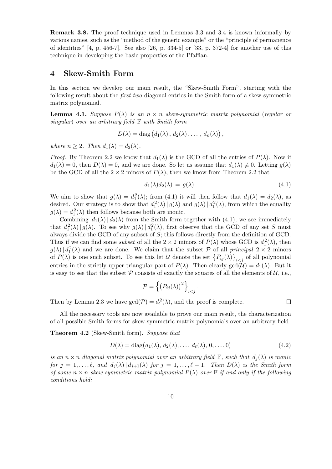**Remark 3.8.** The proof technique used in Lemmas 3.3 and 3.4 is known informally by various names, such as the "method of the generic example" or the "principle of permanence of identities"  $[4, p. 456-7]$ . See also  $[26, p. 334-5]$  or  $[33, p. 372-4]$  for another use of this technique in developing the basic properties of the Pfaffian.

# **4 Skew-Smith Form**

In this section we develop our main result, the "Skew-Smith Form", starting with the following result about the *first two* diagonal entries in the Smith form of a skew-symmetric matrix polynomial.

**Lemma 4.1.** *Suppose*  $P(\lambda)$  *is an*  $n \times n$  *skew-symmetric matrix polynomial* (*regular or singular*) *over an arbitrary field* F *with Smith form*

$$
D(\lambda) = \mathrm{diag}(d_1(\lambda), d_2(\lambda), \ldots, d_n(\lambda)),
$$

*where*  $n \geq 2$ *. Then*  $d_1(\lambda) = d_2(\lambda)$ *.* 

*Proof.* By Theorem 2.2 we know that  $d_1(\lambda)$  is the GCD of all the entries of  $P(\lambda)$ . Now if  $d_1(\lambda) = 0$ , then  $D(\lambda) = 0$ , and we are done. So let us assume that  $d_1(\lambda) \neq 0$ . Letting  $g(\lambda)$ be the GCD of all the  $2 \times 2$  minors of  $P(\lambda)$ , then we know from Theorem 2.2 that

$$
d_1(\lambda)d_2(\lambda) = g(\lambda). \tag{4.1}
$$

We aim to show that  $g(\lambda) = d_1^2(\lambda)$ ; from (4.1) it will then follow that  $d_1(\lambda) = d_2(\lambda)$ , as desired. Our strategy is to show that  $d_1^2(\lambda) | g(\lambda)$  and  $g(\lambda) | d_1^2(\lambda)$ , from which the equality  $g(\lambda) = d_1^2(\lambda)$  then follows because both are monic.

Combining  $d_1(\lambda) | d_2(\lambda)$  from the Smith form together with (4.1), we see immediately that  $d_1^2(\lambda) | g(\lambda)$ . To see why  $g(\lambda) | d_1^2(\lambda)$ , first observe that the GCD of any set *S* must always divide the GCD of any subset of *S*; this follows directly from the definition of GCD. Thus if we can find some *subset* of all the  $2 \times 2$  minors of  $P(\lambda)$  whose GCD is  $d_1^2(\lambda)$ , then  $g(\lambda) | d_1^2(\lambda)$  and we are done. We claim that the subset *P* of all *principal*  $2 \times 2$  minors of  $P(\lambda)$  is one such subset. To see this let *U* denote the set  $\{P_{ij}(\lambda)\}_{i \leq j}$  of all polynomial entries in the strictly upper triangular part of  $P(\lambda)$ . Then clearly  $gcd(\mathcal{U}) = d_1(\lambda)$ . But it is easy to see that the subset  $P$  consists of exactly the squares of all the elements of  $U$ , i.e.,

$$
\mathcal{P} = \left\{ \left( P_{ij}(\lambda) \right)^2 \right\}_{i < j}.
$$

Then by Lemma 2.3 we have  $gcd(\mathcal{P}) = d_1^2(\lambda)$ , and the proof is complete.

 $\Box$ 

All the necessary tools are now available to prove our main result, the characterization of all possible Smith forms for skew-symmetric matrix polynomials over an arbitrary field.

**Theorem 4.2** (Skew-Smith form)**.** *Suppose that*

$$
D(\lambda) = \text{diag}(d_1(\lambda), d_2(\lambda), \dots, d_\ell(\lambda), 0, \dots, 0)
$$
\n(4.2)

*is an*  $n \times n$  *diagonal matrix polynomial over an arbitrary field*  $\mathbb{F}$ *, such that*  $d_i(\lambda)$  *is monic* for  $j = 1, ..., \ell$ , and  $d_i(\lambda) | d_{i+1}(\lambda)$  for  $j = 1, ..., \ell - 1$ . Then  $D(\lambda)$  is the Smith form *of some*  $n \times n$  *skew-symmetric matrix polynomial*  $P(\lambda)$  *over*  $\mathbb F$  *if and only if the following conditions hold:*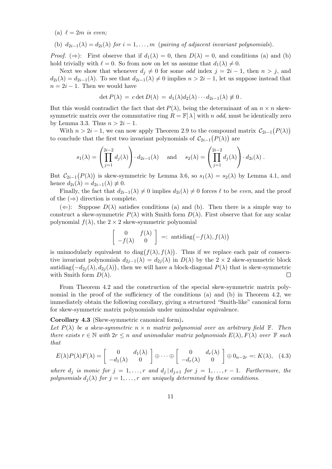(a)  $\ell = 2m$  *is even;* 

(b)  $d_{2i-1}(\lambda) = d_{2i}(\lambda)$  *for*  $i = 1, \ldots, m$  (*pairing of adjacent invariant polynomials*)*.* 

*Proof.* ( $\Rightarrow$ ): First observe that if  $d_1(\lambda) = 0$ , then  $D(\lambda) = 0$ , and conditions (a) and (b) hold trivially with  $\ell = 0$ . So from now on let us assume that  $d_1(\lambda) \neq 0$ .

Next we show that whenever  $d_i \neq 0$  for some *odd* index  $j = 2i - 1$ , then  $n > j$ , and  $d_{2i}(\lambda) = d_{2i-1}(\lambda)$ . To see that  $d_{2i-1}(\lambda) \neq 0$  implies  $n > 2i - 1$ , let us suppose instead that  $n = 2i - 1$ . Then we would have

$$
\det P(\lambda) = c \det D(\lambda) = d_1(\lambda) d_2(\lambda) \cdots d_{2i-1}(\lambda) \neq 0.
$$

But this would contradict the fact that det  $P(\lambda)$ , being the determinant of an  $n \times n$  skewsymmetric matrix over the commutative ring  $R = \mathbb{F}[\lambda]$  with *n odd*, must be identically zero by Lemma 3.3. Thus  $n > 2i - 1$ .

With  $n > 2i - 1$ , we can now apply Theorem 2.9 to the compound matrix  $\mathcal{C}_{2i-1}(P(\lambda))$ to conclude that the first two invariant polynomials of  $C_{2i-1}(P(\lambda))$  are

$$
s_1(\lambda) = \left(\prod_{j=1}^{2i-2} d_j(\lambda)\right) \cdot d_{2i-1}(\lambda) \quad \text{and} \quad s_2(\lambda) = \left(\prod_{j=1}^{2i-2} d_j(\lambda)\right) \cdot d_{2i}(\lambda) .
$$

But  $C_{2i-1}(P(\lambda))$  is skew-symmetric by Lemma 3.6, so  $s_1(\lambda) = s_2(\lambda)$  by Lemma 4.1, and hence  $d_{2i}(\lambda) = d_{2i-1}(\lambda) \neq 0$ .

Finally, the fact that  $d_{2i-1}(\lambda) \neq 0$  implies  $d_{2i}(\lambda) \neq 0$  forces  $\ell$  to be *even*, and the proof of the  $(\Rightarrow)$  direction is complete.

 $(\Leftarrow)$ : Suppose  $D(\lambda)$  satisfies conditions (a) and (b). Then there is a simple way to construct a skew-symmetric  $P(\lambda)$  with Smith form  $D(\lambda)$ . First observe that for any scalar polynomial  $f(\lambda)$ , the  $2 \times 2$  skew-symmetric polynomial

$$
\begin{bmatrix} 0 & f(\lambda) \\ -f(\lambda) & 0 \end{bmatrix} =: \text{ antidiag}(-f(\lambda), f(\lambda))
$$

is unimodularly equivalent to  $diag(f(\lambda), f(\lambda))$ . Thus if we replace each pair of consecutive invariant polynomials  $d_{2j-1}(\lambda) = d_{2j}(\lambda)$  in  $D(\lambda)$  by the 2 × 2 skew-symmetric block antidiag $(-d_{2j}(\lambda), d_{2j}(\lambda))$ , then we will have a block-diagonal  $P(\lambda)$  that is skew-symmetric with Smith form  $D(\lambda)$ .  $\Box$ 

From Theorem 4.2 and the construction of the special skew-symmetric matrix polynomial in the proof of the sufficiency of the conditions (a) and (b) in Theorem 4.2, we immediately obtain the following corollary, giving a structured "Smith-like" canonical form for skew-symmetric matrix polynomials under unimodular equivalence.

**Corollary 4.3** (Skew-symmetric canonical form)**.**

Let  $P(\lambda)$  be a skew-symmetric  $n \times n$  matrix polynomial over an arbitrary field  $\mathbb{F}$ . Then *there exists*  $r \in \mathbb{N}$  *with*  $2r \leq n$  *and unimodular matrix polynomials*  $E(\lambda)$ *,*  $F(\lambda)$  *over*  $\mathbb{F}$  *such that*

$$
E(\lambda)P(\lambda)F(\lambda) = \begin{bmatrix} 0 & d_1(\lambda) \\ -d_1(\lambda) & 0 \end{bmatrix} \oplus \cdots \oplus \begin{bmatrix} 0 & d_r(\lambda) \\ -d_r(\lambda) & 0 \end{bmatrix} \oplus 0_{n-2r} =: K(\lambda), (4.3)
$$

*where*  $d_j$  *is monic for*  $j = 1, \ldots, r$  *and*  $d_j | d_{j+1}$  *for*  $j = 1, \ldots, r - 1$ *. Furthermore, the polynomials*  $d_i(\lambda)$  *for*  $j = 1, \ldots, r$  *are uniquely determined by these conditions.*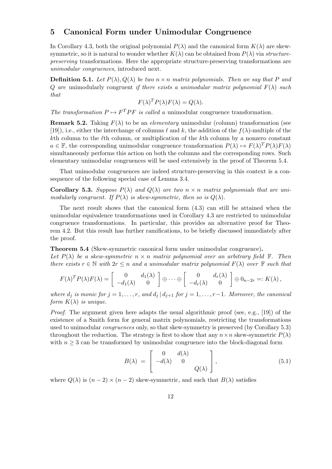# **5 Canonical Form under Unimodular Congruence**

In Corollary 4.3, both the original polynomial  $P(\lambda)$  and the canonical form  $K(\lambda)$  are skewsymmetric, so it is natural to wonder whether  $K(\lambda)$  can be obtained from  $P(\lambda)$  via *structurepreserving* transformations. Here the appropriate structure-preserving transformations are *unimodular congruences*, introduced next.

**Definition 5.1.** *Let*  $P(\lambda)$ *,*  $Q(\lambda)$  *be two*  $n \times n$  *matrix polynomials. Then we say that*  $P$  *and Q* are unimodularly congruent *if there exists a unimodular matrix polynomial*  $F(\lambda)$  *such that*

$$
F(\lambda)^T P(\lambda) F(\lambda) = Q(\lambda).
$$

*The transformation*  $P \mapsto F^T P F$  *is called a* unimodular congruence transformation.

**Remark 5.2.** Taking  $F(\lambda)$  to be an *elementary* unimodular (column) transformation (see [19]), i.e., either the interchange of columns  $\ell$  and  $k$ , the addition of the  $f(\lambda)$ -multiple of the *k*th column to the *l*th column, or multiplication of the *k*th column by a nonzero constant  $a \in \mathbb{F}$ , the corresponding unimodular congruence transformation  $P(\lambda) \mapsto F(\lambda)^T P(\lambda) F(\lambda)$ simultaneously performs this action on both the columns and the corresponding rows. Such elementary unimodular congruences will be used extensively in the proof of Theorem 5.4.

That unimodular congruences are indeed structure-preserving in this context is a consequence of the following special case of Lemma 3.4.

**Corollary 5.3.** *Suppose*  $P(\lambda)$  *and*  $Q(\lambda)$  *are two*  $n \times n$  *matrix polynomials that are unimodularly congruent. If*  $P(\lambda)$  *is skew-symmetric, then so is*  $Q(\lambda)$ *.* 

The next result shows that the canonical form  $(4.3)$  can still be attained when the unimodular equivalence transformations used in Corollary 4.3 are restricted to unimodular congruence transformations. In particular, this provides an alternative proof for Theorem 4.2. But this result has further ramifications, to be briefly discussed immediately after the proof.

**Theorem 5.4** (Skew-symmetric canonical form under unimodular congruence)**.**

Let  $P(\lambda)$  be a skew-symmetric  $n \times n$  matrix polynomial over an arbitrary field  $\mathbb{F}$ . Then *there exists*  $r \in \mathbb{N}$  *with*  $2r \leq n$  *and a unimodular matrix polynomial*  $F(\lambda)$  *over*  $\mathbb{F}$  *such that* 

$$
F(\lambda)^T P(\lambda) F(\lambda) = \begin{bmatrix} 0 & d_1(\lambda) \\ -d_1(\lambda) & 0 \end{bmatrix} \oplus \cdots \oplus \begin{bmatrix} 0 & d_r(\lambda) \\ -d_r(\lambda) & 0 \end{bmatrix} \oplus 0_{n-2r} =: K(\lambda),
$$

*where*  $d_j$  *is monic for*  $j = 1, \ldots, r$ , and  $d_j | d_{j+1}$  *for*  $j = 1, \ldots, r-1$ *. Moreover, the canonical form*  $K(\lambda)$  *is unique.* 

*Proof.* The argument given here adapts the usual algorithmic proof (see, e.g., [19]) of the existence of a Smith form for general matrix polynomials, restricting the transformations used to unimodular *congruences* only, so that skew-symmetry is preserved (by Corollary 5.3) throughout the reduction. The strategy is first to show that any  $n \times n$  skew-symmetric  $P(\lambda)$ with  $n \geq 3$  can be transformed by unimodular congruence into the block-diagonal form

$$
B(\lambda) = \begin{bmatrix} 0 & d(\lambda) \\ -d(\lambda) & 0 & \\ & & Q(\lambda) \end{bmatrix}, \tag{5.1}
$$

where  $Q(\lambda)$  is  $(n-2) \times (n-2)$  skew-symmetric, and such that  $B(\lambda)$  satisfies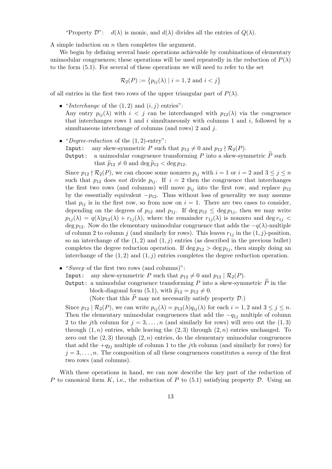"Property  $\mathcal{D}$ ":  $d(\lambda)$  is monic, and  $d(\lambda)$  divides all the entries of  $Q(\lambda)$ .

A simple induction on *n* then completes the argument.

We begin by defining several basic operations achievable by combinations of elementary unimodular congruences; these operations will be used repeatedly in the reduction of  $P(\lambda)$ to the form (5.1). For several of these operations we will need to refer to the set

$$
\mathcal{R}_2(P) := \{ p_{ij}(\lambda) \mid i = 1, 2 \text{ and } i < j \}
$$

of all entries in the first two rows of the upper triangular part of  $P(\lambda)$ .

- *"Interchange* of the  $(1, 2)$  and  $(i, j)$  entries": Any entry  $p_{ij}(\lambda)$  with  $i < j$  can be interchanged with  $p_{12}(\lambda)$  via the congruence that interchanges rows 1 and *i* simultaneously with columns 1 and *i*, followed by a simultaneous interchange of columns (and rows) 2 and *j*.
- *•* "*Degree-reduction* of the (1*,* 2)-entry": Input: any skew-symmetric *P* such that  $p_{12} \neq 0$  and  $p_{12} \nmid \mathcal{R}_2(P)$ . Output: a unimodular congruence transforming  $P$  into a skew-symmetric  $\overline{P}$  such

that  $\widetilde{p}_{12} \neq 0$  and deg  $\widetilde{p}_{12} < \deg p_{12}$ .

Since  $p_{12} \nmid \mathcal{R}_2(P)$ , we can choose some nonzero  $p_{ij}$  with  $i = 1$  or  $i = 2$  and  $3 \leq j \leq n$ such that  $p_{12}$  does *not* divide  $p_{ij}$ . If  $i = 2$  then the congruence that interchanges the first two rows (and columns) will move  $p_{ij}$  into the first row, and replace  $p_{12}$ by the essentially equivalent *−p*12. Thus without loss of generality we may assume that  $p_{ij}$  is in the first row, so from now on  $i = 1$ . There are two cases to consider, depending on the degrees of  $p_{12}$  and  $p_{1j}$ . If deg  $p_{12} \leq \deg p_{1j}$ , then we may write  $p_{1i}(\lambda) = q(\lambda)p_{12}(\lambda) + r_{1i}(\lambda)$ , where the remainder  $r_{1j}(\lambda)$  is nonzero and deg  $r_{1j}$ deg *p*12. Now do the elementary unimodular congruence that adds the *−q*(*λ*)-multiple of column 2 to column *j* (and similarly for rows). This leaves  $r_{1j}$  in the  $(1, j)$ -position, so an interchange of the  $(1, 2)$  and  $(1, j)$  entries (as described in the previous bullet) completes the degree reduction operation. If deg  $p_{12} > \deg p_{1j}$ , then simply doing an interchange of the  $(1, 2)$  and  $(1, j)$  entries completes the degree reduction operation.

- *•* "*Sweep* of the first two rows (and columns)":
	- Input: any skew-symmetric *P* such that  $p_{12} \neq 0$  and  $p_{12} | R_2(P)$ .

Output: a unimodular congruence transforming  $P$  into a skew-symmetric  $\widetilde{P}$  in the block-diagonal form (5.1), with  $\tilde{p}_{12} = p_{12} \neq 0$ .

(Note that this  $P$  may not necessarily satisfy property  $D$ .)

Since  $p_{12} | R_2(P)$ , we can write  $p_{ij}(\lambda) = p_{12}(\lambda) q_{ij}(\lambda)$  for each  $i = 1, 2$  and  $3 \leq j \leq n$ . Then the elementary unimodular congruences that add the *−q*1*<sup>j</sup>* multiple of column 2 to the *j*th column for  $j = 3, \ldots, n$  (and similarly for rows) will zero out the  $(1, 3)$ through  $(1, n)$  entries, while leaving the  $(2, 3)$  through  $(2, n)$  entries unchanged. To zero out the  $(2,3)$  through  $(2,n)$  entries, do the elementary unimodular congruences that add the  $+q_{2i}$  multiple of column 1 to the *j*th column (and similarly for rows) for  $j = 3, \ldots, n$ . The composition of all these congruences constitutes a *sweep* of the first two rows (and columns).

With these operations in hand, we can now describe the key part of the reduction of *P* to canonical form *K*, i.e., the reduction of *P* to (5.1) satisfying property *D*. Using an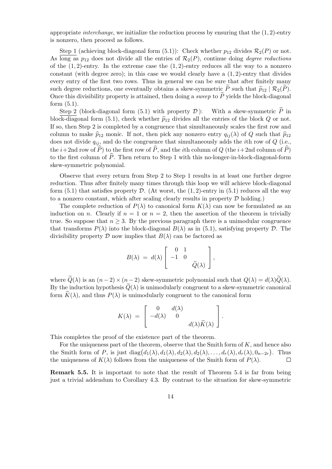appropriate *interchange*, we initialize the reduction process by ensuring that the (1*,* 2)-entry is nonzero, then proceed as follows.

Step 1 (achieving block-diagonal form  $(5.1)$ ): Check whether  $p_{12}$  divides  $\mathcal{R}_2(P)$  or not. As long as  $p_{12}$  does not divide all the entries of  $\mathcal{R}_2(P)$ , continue doing *degree reductions* of the  $(1, 2)$ -entry. In the extreme case the  $(1, 2)$ -entry reduces all the way to a nonzero constant (with degree zero); in this case we would clearly have a (1*,* 2)-entry that divides every entry of the first two rows. Thus in general we can be sure that after finitely many such degree reductions, one eventually obtains a skew-symmetric P such that  $\tilde{p}_{12} | \mathcal{R}_2(P)$ .<br>Once this divisibility property is attained, then doing a *sweep* to  $\tilde{P}$  yields the block diagonal Once this divisibility property is attained, then doing a *sweep* to  $P$  yields the block-diagonal form (5.1).

Step 2 (block-diagonal form  $(5.1)$  with property  $D$ ): With a skew-symmetric  $\hat{P}$  in block-diagonal form (5.1), check whether  $\hat{p}_{12}$  divides all the entries of the block *Q* or not. If so, then Step 2 is completed by a congruence that simultaneously scales the first row and column to make  $\hat{p}_{12}$  monic. If not, then pick any nonzero entry  $q_{ij}(\lambda)$  of Q such that  $\hat{p}_{12}$ does not divide *qij* , and do the congruence that simultaneously adds the *i*th row of *Q* (i.e., the *i*+2nd row of  $\widehat{P}$ ) to the first row of  $\widehat{P}$ , and the *i*th column of *Q* (the *i*+2nd column of  $\widehat{P}$ ) to the first column of  $\hat{P}$ . Then return to Step 1 with this no-longer-in-block-diagonal-form skew-symmetric polynomial.

Observe that every return from Step 2 to Step 1 results in at least one further degree reduction. Thus after finitely many times through this loop we will achieve block-diagonal form  $(5.1)$  that satisfies property  $D$ . (At worst, the  $(1, 2)$ -entry in  $(5.1)$  reduces all the way to a nonzero constant, which after scaling clearly results in property *D* holding.)

The complete reduction of  $P(\lambda)$  to canonical form  $K(\lambda)$  can now be formulated as an induction on *n*. Clearly if  $n = 1$  or  $n = 2$ , then the assertion of the theorem is trivially true. So suppose that  $n \geq 3$ . By the previous paragraph there is a unimodular congruence that transforms  $P(\lambda)$  into the block-diagonal  $B(\lambda)$  as in (5.1), satisfying property  $\mathcal D$ . The divisibility property  $\mathcal D$  now implies that  $B(\lambda)$  can be factored as

$$
B(\lambda) = d(\lambda) \left[ \begin{array}{rr} 0 & 1 \\ -1 & 0 \\ & \widetilde{Q}(\lambda) \end{array} \right],
$$

where  $\widetilde{Q}(\lambda)$  is an  $(n-2) \times (n-2)$  skew-symmetric polynomial such that  $Q(\lambda) = d(\lambda)\widetilde{Q}(\lambda)$ . By the induction hypothesis  $Q(\lambda)$  is unimodularly congruent to a skew-symmetric canonical form  $K(\lambda)$ , and thus  $P(\lambda)$  is unimodularly congruent to the canonical form

$$
K(\lambda) = \begin{bmatrix} 0 & d(\lambda) \\ -d(\lambda) & 0 & \\ & & d(\lambda)\widetilde{K}(\lambda) \end{bmatrix}.
$$

This completes the proof of the existence part of the theorem.

For the uniqueness part of the theorem, observe that the Smith form of *K*, and hence also the Smith form of P, is just  $diag(d_1(\lambda), d_1(\lambda), d_2(\lambda), d_2(\lambda), \ldots, d_r(\lambda), d_r(\lambda), 0_{n-2r})$ . Thus the uniqueness of  $K(\lambda)$  follows from the uniqueness of the Smith form of  $P(\lambda)$ .  $\Box$ 

**Remark 5.5.** It is important to note that the result of Theorem 5.4 is far from being just a trivial addendum to Corollary 4.3. By contrast to the situation for skew-symmetric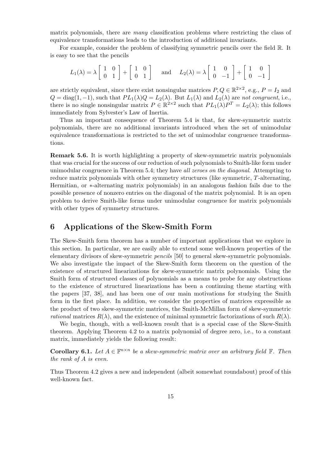matrix polynomials, there are *many* classification problems where restricting the class of equivalence transformations leads to the introduction of additional invariants.

For example, consider the problem of classifying symmetric pencils over the field R. It is easy to see that the pencils

$$
L_1(\lambda) = \lambda \begin{bmatrix} 1 & 0 \\ 0 & 1 \end{bmatrix} + \begin{bmatrix} 1 & 0 \\ 0 & 1 \end{bmatrix} \quad \text{and} \quad L_2(\lambda) = \lambda \begin{bmatrix} 1 & 0 \\ 0 & -1 \end{bmatrix} + \begin{bmatrix} 1 & 0 \\ 0 & -1 \end{bmatrix}
$$

are strictly equivalent, since there exist nonsingular matrices  $P, Q \in \mathbb{R}^{2 \times 2}$ , e.g.,  $P = I_2$  and  $Q = \text{diag}(1, -1)$ , such that  $PL_1(\lambda)Q = L_2(\lambda)$ . But  $L_1(\lambda)$  and  $L_2(\lambda)$  are *not congruent*, i.e., there is no single nonsingular matrix  $P \in \mathbb{R}^{2 \times 2}$  such that  $PL_1(\lambda)P^T = L_2(\lambda)$ ; this follows immediately from Sylvester's Law of Inertia.

Thus an important consequence of Theorem 5.4 is that, for skew-symmetric matrix polynomials, there are no additional invariants introduced when the set of unimodular equivalence transformations is restricted to the set of unimodular congruence transformations.

**Remark 5.6.** It is worth highlighting a property of skew-symmetric matrix polynomials that was crucial for the success of our reduction of such polynomials to Smith-like form under unimodular congruence in Theorem 5.4; they have *all zeroes on the diagonal*. Attempting to reduce matrix polynomials with other symmetry structures (like symmetric, *T*-alternating, Hermitian, or *∗*-alternating matrix polynomials) in an analogous fashion fails due to the possible presence of nonzero entries on the diagonal of the matrix polynomial. It is an open problem to derive Smith-like forms under unimodular congruence for matrix polynomials with other types of symmetry structures.

# **6 Applications of the Skew-Smith Form**

The Skew-Smith form theorem has a number of important applications that we explore in this section. In particular, we are easily able to extend some well-known properties of the elementary divisors of skew-symmetric *pencils* [50] to general skew-symmetric polynomials. We also investigate the impact of the Skew-Smith form theorem on the question of the existence of structured linearizations for skew-symmetric matrix polynomials. Using the Smith form of structured classes of polynomials as a means to probe for any obstructions to the existence of structured linearizations has been a continuing theme starting with the papers [37, 38], and has been one of our main motivations for studying the Smith form in the first place. In addition, we consider the properties of matrices expressible as the product of two skew-symmetric matrices, the Smith-McMillan form of skew-symmetric *rational* matrices  $R(\lambda)$ , and the existence of minimal symmetric factorizations of such  $R(\lambda)$ .

We begin, though, with a well-known result that is a special case of the Skew-Smith theorem. Applying Theorem 4.2 to a matrix polynomial of degree zero, i.e., to a constant matrix, immediately yields the following result:

**Corollary 6.1.** Let  $A \in \mathbb{F}^{n \times n}$  be a skew-symmetric matrix over an arbitrary field  $\mathbb{F}$ . Then *the rank of A is even.*

Thus Theorem 4.2 gives a new and independent (albeit somewhat roundabout) proof of this well-known fact.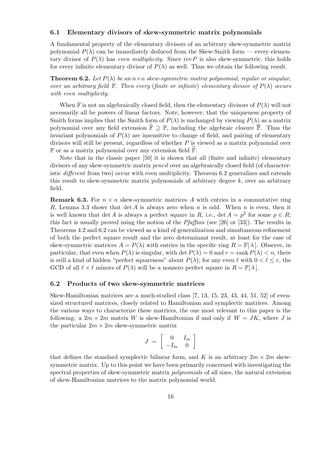### **6.1 Elementary divisors of skew-symmetric matrix polynomials**

A fundamental property of the elementary divisors of an arbitrary skew-symmetric matrix polynomial  $P(\lambda)$  can be immediately deduced from the Skew-Smith form — every elementary divisor of  $P(\lambda)$  has *even multiplicity*. Since rev *P* is also skew-symmetric, this holds for every infinite elementary divisor of  $P(\lambda)$  as well. Thus we obtain the following result.

**Theorem 6.2.** Let  $P(\lambda)$  be an  $n \times n$  skew-symmetric matrix polynomial, regular or singular, *over an arbitrary field*  $\mathbb{F}$ *. Then every (finite or infinite) elementary divisor of*  $P(\lambda)$  *occurs with even multiplicity.*

When F is not an algebraically closed field, then the elementary divisors of  $P(\lambda)$  will not necessarily all be powers of linear factors. Note, however, that the uniqueness property of Smith forms implies that the Smith form of  $P(\lambda)$  is unchanged by viewing  $P(\lambda)$  as a matrix polynomial over any field extension  $\mathbb{F}\supseteq\mathbb{F}$ , including the algebraic closure  $\overline{\mathbb{F}}$ . Thus the invariant polynomials of  $P(\lambda)$  are insensitive to change of field, and pairing of elementary divisors will still be present, regardless of whether *P* is viewed as a matrix polynomial over  $\mathbb F$  or as a matrix polynomial over any extension field  $\mathbb F$ .

Note that in the classic paper [50] it is shown that all (finite and infinite) elementary divisors of any skew-symmetric matrix *pencil* over an algebraically closed field (of characteristic *different* from two) occur with even multiplicity. Theorem 6.2 generalizes and extends this result to skew-symmetric matrix polynomials of arbitrary degree *k*, over an arbitrary field.

**Remark 6.3.** For  $n \times n$  skew-symmetric matrices A with entries in a commutative ring *R*, Lemma 3.3 shows that det *A* is always zero when *n* is odd. When *n* is even, then it is well known that det *A* is always a perfect square in *R*, i.e., det  $A = p^2$  for some  $p \in R$ ; this fact is usually proved using the notion of the *Pfaffian* (see [26] or [33]). The results in Theorems 4.2 and 6.2 can be viewed as a kind of generalization and simultaneous refinement of both the perfect square result and the zero determinant result, at least for the case of skew-symmetric matrices  $A = P(\lambda)$  with entries in the specific ring  $R = \mathbb{F}[\lambda]$ . Observe, in particular, that even when  $P(\lambda)$  is singular, with det  $P(\lambda) = 0$  and  $r = \text{rank } P(\lambda) < n$ , there is still a kind of hidden "perfect squareness" about  $P(\lambda)$ ; for any even  $\ell$  with  $0 < \ell \leq r$ , the GCD of all  $\ell \times \ell$  minors of  $P(\lambda)$  will be a nonzero perfect square in  $R = \mathbb{F}[\lambda]$ .

### **6.2 Products of two skew-symmetric matrices**

Skew-Hamiltonian matrices are a much-studied class [7, 13, 15, 23, 43, 44, 51, 52] of evensized structured matrices, closely related to Hamiltonian and symplectic matrices. Among the various ways to characterize these matrices, the one most relevant to this paper is the following: a  $2m \times 2m$  matrix *W* is skew-Hamiltonian if and only if  $W = JK$ , where *J* is the particular  $2m \times 2m$  skew-symmetric matrix

$$
J = \left[ \begin{array}{cc} 0 & I_m \\ -I_m & 0 \end{array} \right]
$$

that defines the standard symplectic bilinear form, and K is an arbitrary  $2m \times 2m$  skewsymmetric matrix. Up to this point we have been primarily concerned with investigating the spectral properties of skew-symmetric matrix *polynomials* of all sizes, the natural extension of skew-Hamiltonian matrices to the matrix polynomial world.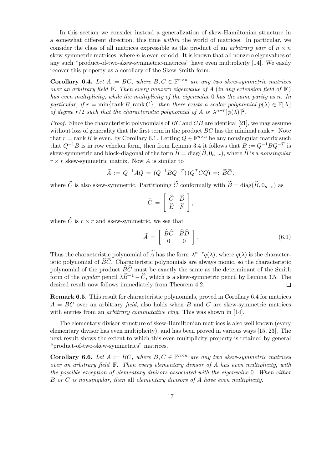In this section we consider instead a generalization of skew-Hamiltonian structure in a somewhat different direction, this time *within* the world of matrices. In particular, we consider the class of all matrices expressible as the product of an *arbitrary pair* of  $n \times n$ skew-symmetric matrices, where *n* is even *or* odd. It is known that all nonzero eigenvalues of any such "product-of-two-skew-symmetric-matrices" have even multiplicity [14]. We easily recover this property as a corollary of the Skew-Smith form.

**Corollary 6.4.** *Let*  $A := BC$ *, where*  $B, C \in \mathbb{F}^{n \times n}$  *are any two skew-symmetric matrices over an arbitrary field*  $\mathbb{F}$ *. Then every nonzero eigenvalue of*  $A$  (*in any extension field of*  $\mathbb{F}$ ) *has even multiplicity, while the multiplicity of the eigenvalue* 0 *has the same parity as n. In particular, if*  $r = \min\{\text{rank }B, \text{rank }C\}$ , then there exists a scalar polynomial  $p(\lambda) \in \mathbb{F}[\lambda]$ *of degree*  $r/2$  *such that the characteristic polynomial of A is*  $\lambda^{n-r} [p(\lambda)]^2$ .

*Proof.* Since the characteristic polynomials of *BC* and *CB* are identical [21], we may assume without loss of generality that the first term in the product *BC* has the minimal rank *r*. Note that  $r = \text{rank } B$  is even, by Corollary 6.1. Letting  $Q \in \mathbb{F}^{n \times n}$  be any nonsingular matrix such that  $Q^{-1}B$  is in row echelon form, then from Lemma 3.4 it follows that  $\widetilde{B} := Q^{-1}BQ^{-T}$  is skew-symmetric and block-diagonal of the form  $\widetilde{B} = \text{diag}(\widehat{B}, 0_{n-r})$ , where  $\widehat{B}$  is a *nonsingular*  $r \times r$  skew-symmetric matrix. Now *A* is similar to

$$
\widetilde{A} := Q^{-1} A Q = (Q^{-1} B Q^{-T}) (Q^T C Q) =: \widetilde{B} \widetilde{C},
$$

where  $\tilde{C}$  is also skew-symmetric. Partitioning  $\tilde{C}$  conformally with  $\tilde{B} = \text{diag}(\hat{B}, 0_{n-r})$  as

$$
\widetilde{C} = \left[ \begin{array}{cc} \widehat{C} & \widehat{D} \\ \widehat{E} & \widehat{F} \end{array} \right],
$$

where  $\widehat{C}$  is  $r \times r$  and skew-symmetric, we see that

$$
\widetilde{A} = \left[ \begin{array}{cc} \widehat{B}\widehat{C} & \widehat{B}\widehat{D} \\ 0 & 0 \end{array} \right]. \tag{6.1}
$$

Thus the characteristic polynomial of  $\widetilde{A}$  has the form  $\lambda^{n-r}q(\lambda)$ , where  $q(\lambda)$  is the characteristic polynomial of  $\widehat{B}\widehat{C}$ . Characteristic polynomials are always monic, so the characteristic polynomial of the product  $\widehat{BC}$  must be exactly the same as the determinant of the Smith form of the *regular* pencil  $\lambda \widehat{B}^{-1} - \widehat{C}$ , which is a skew-symmetric pencil by Lemma 3.5. The desired result now follows immediately from Theorem 4.2. desired result now follows immediately from Theorem 4.2.

**Remark 6.5.** This result for characteristic polynomials, proved in Corollary 6.4 for matrices *A* = *BC* over an arbitrary *field*, also holds when *B* and *C* are skew-symmetric matrices with entries from an *arbitrary commutative ring*. This was shown in [14].

The elementary divisor structure of skew-Hamiltonian matrices is also well known (every elementary divisor has even multiplicity), and has been proved in various ways [15, 23]. The next result shows the extent to which this even multiplicity property is retained by general "product-of-two-skew-symmetrics" matrices.

**Corollary 6.6.** *Let*  $A := BC$ *, where*  $B, C \in \mathbb{F}^{n \times n}$  *are any two skew-symmetric matrices over an arbitrary field* F*. Then every elementary divisor of A has even multiplicity, with the possible exception of elementary divisors associated with the eigenvalue* 0*. When either B or C is nonsingular, then* all *elementary divisors of A have even multiplicity.*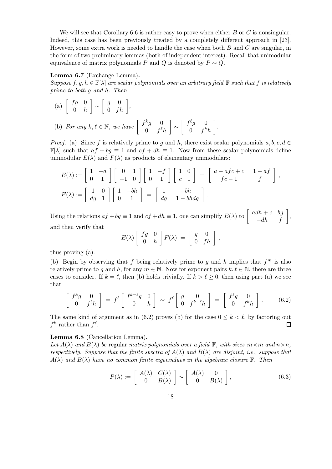We will see that Corollary 6.6 is rather easy to prove when either *B* or *C* is nonsingular. Indeed, this case has been previously treated by a completely different approach in [23]. However, some extra work is needed to handle the case when both *B* and *C* are singular, in the form of two preliminary lemmas (both of independent interest). Recall that unimodular equivalence of matrix polynomials *P* and *Q* is denoted by  $P \sim Q$ .

### **Lemma 6.7** (Exchange Lemma)**.**

*Suppose*  $f, g, h \in \mathbb{F}[\lambda]$  *are scalar polynomials over an arbitrary field*  $\mathbb{F}$  *such that*  $f$  *is relatively prime to both g and h. Then*

(a) 
$$
\begin{bmatrix} fg & 0 \\ 0 & h \end{bmatrix} \sim \begin{bmatrix} g & 0 \\ 0 & fh \end{bmatrix}
$$
,  
\n(b) For any  $k, \ell \in \mathbb{N}$ , we have  $\begin{bmatrix} f^k g & 0 \\ 0 & f^{\ell} h \end{bmatrix} \sim \begin{bmatrix} f^{\ell} g & 0 \\ 0 & f^k h \end{bmatrix}$ 

*Proof.* (a) Since *f* is relatively prime to *g* and *h*, there exist scalar polynomials  $a, b, c, d \in$  $\mathbb{F}[\lambda]$  such that  $af + bg \equiv 1$  and  $cf + dh \equiv 1$ . Now from these scalar polynomials define unimodular  $E(\lambda)$  and  $F(\lambda)$  as products of elementary unimodulars:

*.*

$$
E(\lambda) := \begin{bmatrix} 1 & -a \\ 0 & 1 \end{bmatrix} \begin{bmatrix} 0 & 1 \\ -1 & 0 \end{bmatrix} \begin{bmatrix} 1 & -f \\ 0 & 1 \end{bmatrix} \begin{bmatrix} 1 & 0 \\ c & 1 \end{bmatrix} = \begin{bmatrix} a - afc + c & 1 - af \\ fc - 1 & f \end{bmatrix},
$$
  

$$
F(\lambda) := \begin{bmatrix} 1 & 0 \\ dg & 1 \end{bmatrix} \begin{bmatrix} 1 & -bh \\ 0 & 1 \end{bmatrix} = \begin{bmatrix} 1 & -bh \\ dg & 1 - bhdg \end{bmatrix}.
$$

Using the relations  $af + bg \equiv 1$  and  $cf + dh \equiv 1$ , one can simplify  $E(\lambda)$  to  $\begin{bmatrix} adh + c & bg \\ -dh & f \end{bmatrix}$ , and then verify that

$$
E(\lambda) \left[ \begin{array}{cc} fg & 0 \\ 0 & h \end{array} \right] F(\lambda) = \left[ \begin{array}{cc} g & 0 \\ 0 & fh \end{array} \right],
$$

thus proving (a).

(b) Begin by observing that *f* being relatively prime to *g* and *h* implies that  $f<sup>m</sup>$  is also relatively prime to *g* and *h*, for any  $m \in \mathbb{N}$ . Now for exponent pairs  $k, \ell \in \mathbb{N}$ , there are three cases to consider. If  $k = \ell$ , then (b) holds trivially. If  $k > \ell \geq 0$ , then using part (a) we see that

$$
\begin{bmatrix} f^k g & 0 \\ 0 & f^\ell h \end{bmatrix} = f^\ell \begin{bmatrix} f^{k-\ell} g & 0 \\ 0 & h \end{bmatrix} \sim f^\ell \begin{bmatrix} g & 0 \\ 0 & f^{k-\ell} h \end{bmatrix} = \begin{bmatrix} f^\ell g & 0 \\ 0 & f^k h \end{bmatrix}.
$$
 (6.2)

The same kind of argument as in (6.2) proves (b) for the case  $0 \leq k \leq \ell$ , by factoring out  $f^k$  rather than  $f^{\ell}$ .  $\Box$ 

### **Lemma 6.8** (Cancellation Lemma)**.**

*Let*  $A(\lambda)$  *and*  $B(\lambda)$  *be* regular *matrix polynomials over a field*  $\mathbb{F}$ *, with sizes*  $m \times m$  *and*  $n \times n$ *, respectively. Suppose that the finite spectra of*  $A(\lambda)$  *and*  $B(\lambda)$  *are disjoint, i.e., suppose that*  $A(\lambda)$  *and*  $B(\lambda)$  *have no common finite eigenvalues in the algebraic closure*  $\mathbb{F}$ *. Then* 

$$
P(\lambda) := \begin{bmatrix} A(\lambda) & C(\lambda) \\ 0 & B(\lambda) \end{bmatrix} \sim \begin{bmatrix} A(\lambda) & 0 \\ 0 & B(\lambda) \end{bmatrix},
$$
(6.3)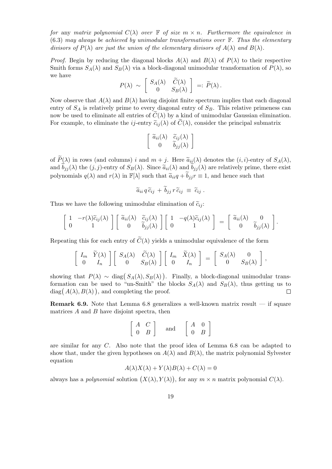*for* any *matrix polynomial*  $C(\lambda)$  *over*  $\mathbb F$  *of size*  $m \times n$ *. Furthermore the equivalence in* (6.3) *may always be achieved by unimodular transformations over* F*. Thus the elementary divisors of*  $P(\lambda)$  *are just the union of the elementary divisors of*  $A(\lambda)$  *and*  $B(\lambda)$ *.* 

*Proof.* Begin by reducing the diagonal blocks  $A(\lambda)$  and  $B(\lambda)$  of  $P(\lambda)$  to their respective Smith forms  $S_A(\lambda)$  and  $S_B(\lambda)$  via a block-diagonal unimodular transformation of  $P(\lambda)$ , so we have

$$
P(\lambda) \sim \begin{bmatrix} S_A(\lambda) & \widetilde{C}(\lambda) \\ 0 & S_B(\lambda) \end{bmatrix} =: \widetilde{P}(\lambda).
$$

Now observe that  $A(\lambda)$  and  $B(\lambda)$  having disjoint finite spectrum implies that each diagonal entry of  $S_A$  is relatively prime to every diagonal entry of  $S_B$ . This relative primeness can now be used to eliminate all entries of  $\tilde{C}(\lambda)$  by a kind of unimodular Gaussian elimination. For example, to eliminate the *ij*-entry  $\tilde{c}_{ij}(\lambda)$  of  $C(\lambda)$ , consider the principal submatrix

$$
\left[\begin{array}{cc} \widetilde{a}_{ii}(\lambda) & \widetilde{c}_{ij}(\lambda) \\ 0 & \widetilde{b}_{jj}(\lambda) \end{array}\right]
$$

of  $\widetilde{P}(\lambda)$  in rows (and columns) *i* and  $m + j$ . Here  $\widetilde{a}_{ii}(\lambda)$  denotes the  $(i, i)$ -entry of  $S_A(\lambda)$ , and  $b_{jj}(\lambda)$  the  $(j, j)$ -entry of  $S_B(\lambda)$ . Since  $\tilde{a}_{ii}(\lambda)$  and  $b_{jj}(\lambda)$  are relatively prime, there exist polynomials  $q(\lambda)$  and  $r(\lambda)$  in  $\mathbb{F}[\lambda]$  such that  $\tilde{a}_{ii}q + b_{jj}r \equiv 1$ , and hence such that

$$
\widetilde{a}_{ii}\,q\,\widetilde{c}_{ij}\,+\,\widetilde{b}_{jj}\,r\,\widetilde{c}_{ij}\,\,\equiv\,\,\widetilde{c}_{ij}\;.
$$

Thus we have the following unimodular elimination of  $\tilde{c}_{ii}$ .

$$
\left[\begin{array}{cc} 1 & -r(\lambda)\widetilde{c}_{ij}(\lambda) \\ 0 & 1 \end{array}\right] \left[\begin{array}{cc} \widetilde{a}_{ii}(\lambda) & \widetilde{c}_{ij}(\lambda) \\ 0 & \widetilde{b}_{jj}(\lambda) \end{array}\right] \left[\begin{array}{cc} 1 & -q(\lambda)\widetilde{c}_{ij}(\lambda) \\ 0 & 1 \end{array}\right] = \left[\begin{array}{cc} \widetilde{a}_{ii}(\lambda) & 0 \\ 0 & \widetilde{b}_{jj}(\lambda) \end{array}\right].
$$

Repeating this for each entry of  $\tilde{C}(\lambda)$  yields a unimodular equivalence of the form

$$
\left[\begin{array}{cc} I_m & \widetilde{Y}(\lambda) \\ 0 & I_n \end{array}\right] \left[\begin{array}{cc} S_A(\lambda) & \widetilde{C}(\lambda) \\ 0 & S_B(\lambda) \end{array}\right] \left[\begin{array}{cc} I_m & \widetilde{X}(\lambda) \\ 0 & I_n \end{array}\right] = \left[\begin{array}{cc} S_A(\lambda) & 0 \\ 0 & S_B(\lambda) \end{array}\right],
$$

showing that  $P(\lambda) \sim \text{diag}(S_A(\lambda), S_B(\lambda))$ . Finally, a block-diagonal unimodular transformation can be used to "un-Smith" the blocks  $S_A(\lambda)$  and  $S_B(\lambda)$ , thus getting us to  $diag(A(\lambda), B(\lambda))$ , and completing the proof.  $\Box$ 

**Remark 6.9.** Note that Lemma 6.8 generalizes a well-known matrix result — if square matrices *A* and *B* have disjoint spectra, then

$$
\left[\begin{array}{cc} A & C \\ 0 & B \end{array}\right] \quad \text{and} \quad \left[\begin{array}{cc} A & 0 \\ 0 & B \end{array}\right]
$$

are similar for any *C*. Also note that the proof idea of Lemma 6.8 can be adapted to show that, under the given hypotheses on  $A(\lambda)$  and  $B(\lambda)$ , the matrix polynomial Sylvester equation

$$
A(\lambda)X(\lambda) + Y(\lambda)B(\lambda) + C(\lambda) = 0
$$

always has a *polynomial* solution  $(X(\lambda), Y(\lambda))$ , for any  $m \times n$  matrix polynomial  $C(\lambda)$ .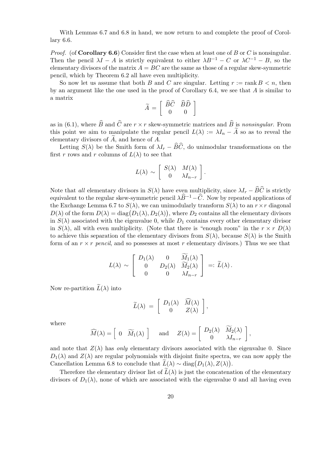With Lemmas 6.7 and 6.8 in hand, we now return to and complete the proof of Corollary 6.6.

*Proof.* (of **Corollary 6.6**) Consider first the case when at least one of *B* or *C* is nonsingular. Then the pencil  $\lambda I - A$  is strictly equivalent to either  $\lambda B^{-1} - C$  or  $\lambda C^{-1} - B$ , so the elementary divisors of the matrix  $A = BC$  are the same as those of a regular skew-symmetric pencil, which by Theorem 6.2 all have even multiplicity.

So now let us assume that both *B* and *C* are singular. Letting  $r := \text{rank } B \leq n$ , then by an argument like the one used in the proof of Corollary 6.4, we see that *A* is similar to a matrix

$$
\widetilde{A} = \left[ \begin{array}{cc} \widehat{B}\widehat{C} & \widehat{B}\widehat{D} \\ 0 & 0 \end{array} \right]
$$

as in (6.1), where  $\widehat{B}$  and  $\widehat{C}$  are  $r \times r$  skew-symmetric matrices and  $\widehat{B}$  is *nonsingular*. From this point we aim to manipulate the regular pencil  $L(\lambda) := \lambda I_n - \tilde{A}$  so as to reveal the elementary divisors of A, and hence of A.

Letting  $S(\lambda)$  be the Smith form of  $\lambda I_r - \widehat{B}\widehat{C}$ , do unimodular transformations on the first *r* rows and *r* columns of  $L(\lambda)$  to see that

$$
L(\lambda) \sim \left[ \begin{array}{cc} S(\lambda) & M(\lambda) \\ 0 & \lambda I_{n-r} \end{array} \right].
$$

Note that *all* elementary divisors in  $S(\lambda)$  have even multiplicity, since  $\lambda I_r - \widehat{B}\widehat{C}$  is strictly equivalent to the regular skew-symmetric pencil  $\lambda \widehat{B}^{-1} - \widehat{C}$ . Now by repeated applications of the Exchange Lemma 6.7 to  $S(\lambda)$ , we can unimodularly transform  $S(\lambda)$  to an  $r \times r$  diagonal  $D(\lambda)$  of the form  $D(\lambda) = \text{diag}(D_1(\lambda), D_2(\lambda))$ , where  $D_2$  contains all the elementary divisors in  $S(\lambda)$  associated with the eigenvalue 0, while  $D_1$  contains every other elementary divisor in  $S(\lambda)$ , all with even multiplicity. (Note that there is "enough room" in the  $r \times r D(\lambda)$ to achieve this separation of the elementary divisors from  $S(\lambda)$ , because  $S(\lambda)$  is the Smith form of an  $r \times r$  *pencil*, and so possesses at most r elementary divisors.) Thus we see that

$$
L(\lambda) \sim \begin{bmatrix} D_1(\lambda) & 0 & \tilde{M}_1(\lambda) \\ 0 & D_2(\lambda) & \tilde{M}_2(\lambda) \\ 0 & 0 & \lambda I_{n-r} \end{bmatrix} =: \widetilde{L}(\lambda).
$$

Now re-partition  $\widetilde{L}(\lambda)$  into

$$
\widetilde{L}(\lambda) = \left[ \begin{array}{cc} D_1(\lambda) & M(\lambda) \\ 0 & Z(\lambda) \end{array} \right],
$$

where

$$
\widehat{M}(\lambda) = \begin{bmatrix} 0 & \widetilde{M}_1(\lambda) \end{bmatrix} \quad \text{and} \quad Z(\lambda) = \begin{bmatrix} D_2(\lambda) & \widetilde{M}_2(\lambda) \\ 0 & \lambda I_{n-r} \end{bmatrix},
$$

and note that  $Z(\lambda)$  has *only* elementary divisors associated with the eigenvalue 0. Since  $D_1(\lambda)$  and  $Z(\lambda)$  are regular polynomials with disjoint finite spectra, we can now apply the Cancellation Lemma 6.8 to conclude that  $L(\lambda) \sim \text{diag}(D_1(\lambda), Z(\lambda)).$ 

Therefore the elementary divisor list of  $\tilde{L}(\lambda)$  is just the concatenation of the elementary divisors of  $D_1(\lambda)$ , none of which are associated with the eigenvalue 0 and all having even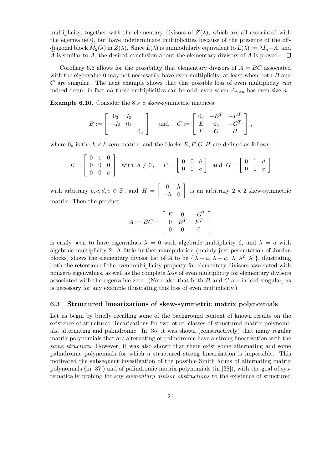multiplicity, together with the elementary divisors of  $Z(\lambda)$ , which are all associated with the eigenvalue 0, but have indeterminate multiplicities because of the presence of the offdiagonal block  $\widetilde{M}_2(\lambda)$  in  $Z(\lambda)$ . Since  $\widetilde{L}(\lambda)$  is unimodularly equivalent to  $L(\lambda) := \lambda I_n - A$ , and  $\widetilde{A}$  is similar to A, the desired conclusion about the elementary divisors of A is proved.  $\square$ *A* is similar to *A*, the desired conclusion about the elementary divisors of *A* is proved.

Corollary 6.6 allows for the possibility that elementary divisors of  $A = BC$  associated with the eigenvalue 0 may not necessarily have even multiplicity, at least when both *B* and *C* are singular. The next example shows that this possible loss of even multiplicity *can* indeed occur; in fact *all* these multiplicities can be odd, even when  $A_{n\times n}$  has even size *n*.

**Example 6.10.** Consider the  $8 \times 8$  skew-symmetric matrices

$$
B := \begin{bmatrix} 0_3 & I_3 \\ -I_3 & 0_3 \\ & & 0_2 \end{bmatrix} \quad \text{and} \quad C := \begin{bmatrix} 0_3 & -E^T & -F^T \\ E & 0_3 & -G^T \\ F & G & H \end{bmatrix},
$$

where  $0_k$  is the  $k \times k$  zero matrix, and the blocks  $E, F, G, H$  are defined as follows:

$$
E = \begin{bmatrix} 0 & 1 & 0 \\ 0 & 0 & 0 \\ 0 & 0 & a \end{bmatrix} \text{ with } a \neq 0, \quad F = \begin{bmatrix} 0 & 0 & b \\ 0 & 0 & c \end{bmatrix} \text{ and } G = \begin{bmatrix} 0 & 1 & d \\ 0 & 0 & e \end{bmatrix}
$$

with arbitrary  $b, c, d, e \in \mathbb{F}$ , and  $H = \begin{bmatrix} 0 & h \\ h & 0 \end{bmatrix}$ *−h* 0 ] is an arbitrary 2 *×* 2 skew-symmetric matrix. Then the product

$$
A := BC = \left[ \begin{array}{ccc} E & 0 & -G^T \\ 0 & E^T & F^T \\ 0 & 0 & 0 \end{array} \right]
$$

is easily seen to have eigenvalues  $\lambda = 0$  with algebraic multiplicity 6, and  $\lambda = a$  with algebraic multiplicity 2. A little further manipulation (mainly just permutation of Jordan blocks) shows the elementary divisor list of *A* to be  $\{\lambda - a, \lambda - a, \lambda, \lambda^2, \lambda^3\}$ , illustrating both the retention of the even multiplicity property for elementary divisors associated with nonzero eigenvalues, as well as the complete *loss* of even multiplicity for elementary divisors associated with the eigenvalue zero. (Note also that both *B* and *C* are indeed singular, as is necessary for any example illustrating this loss of even multiplicity.)

### **6.3 Structured linearizations of skew-symmetric matrix polynomials**

Let us begin by briefly recalling some of the background context of known results on the existence of structured linearizations for two other classes of structured matrix polynomials, alternating and palindromic. In [35] it was shown (constructively) that many regular matrix polynomials that are alternating or palindromic have a strong linearization with the *same structure*. However, it was also shown that there exist some alternating and some palindromic polynomials for which a structured strong linearization is impossible. This motivated the subsequent investigation of the possible Smith forms of alternating matrix polynomials (in [37]) and of palindromic matrix polynomials (in [38]), with the goal of systematically probing for any *elementary divisor obstructions* to the existence of structured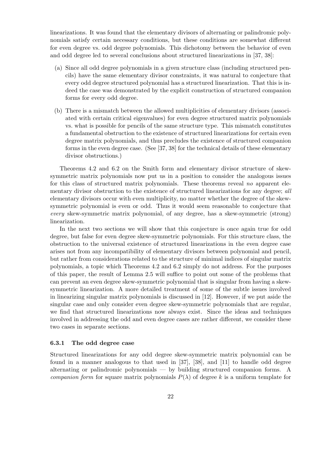linearizations. It was found that the elementary divisors of alternating or palindromic polynomials satisfy certain necessary conditions, but these conditions are somewhat different for even degree vs. odd degree polynomials. This dichotomy between the behavior of even and odd degree led to several conclusions about structured linearizations in [37, 38]:

- (a) Since all odd degree polynomials in a given structure class (including structured pencils) have the same elementary divisor constraints, it was natural to conjecture that every odd degree structured polynomial has a structured linearization. That this is indeed the case was demonstrated by the explicit construction of structured companion forms for every odd degree.
- (b) There is a mismatch between the allowed multiplicities of elementary divisors (associated with certain critical eigenvalues) for even degree structured matrix polynomials vs. what is possible for pencils of the same structure type. This mismatch constitutes a fundamental obstruction to the existence of structured linearizations for certain even degree matrix polynomials, and thus precludes the existence of structured companion forms in the even degree case. (See [37, 38] for the technical details of these elementary divisor obstructions.)

Theorems 4.2 and 6.2 on the Smith form and elementary divisor structure of skewsymmetric matrix polynomials now put us in a position to consider the analogous issues for this class of structured matrix polynomials. These theorems reveal *no* apparent elementary divisor obstruction to the existence of structured linearizations for any degree; *all* elementary divisors occur with even multiplicity, no matter whether the degree of the skewsymmetric polynomial is even or odd. Thus it would seem reasonable to conjecture that *every* skew-symmetric matrix polynomial, of any degree, has a skew-symmetric (strong) linearization.

In the next two sections we will show that this conjecture is once again true for odd degree, but false for even degree skew-symmetric polynomials. For this structure class, the obstruction to the universal existence of structured linearizations in the even degree case arises not from any incompatibility of elementary divisors between polynomial and pencil, but rather from considerations related to the structure of minimal indices of singular matrix polynomials, a topic which Theorems 4.2 and 6.2 simply do not address. For the purposes of this paper, the result of Lemma 2.5 will suffice to point out some of the problems that can prevent an even degree skew-symmetric polynomial that is singular from having a skewsymmetric linearization. A more detailed treatment of some of the subtle issues involved in linearizing singular matrix polynomials is discussed in [12]. However, if we put aside the singular case and only consider even degree skew-symmetric polynomials that are regular, we find that structured linearizations now always exist. Since the ideas and techniques involved in addressing the odd and even degree cases are rather different, we consider these two cases in separate sections.

### **6.3.1 The odd degree case**

Structured linearizations for any odd degree skew-symmetric matrix polynomial can be found in a manner analogous to that used in [37], [38], and [11] to handle odd degree alternating or palindromic polynomials — by building structured companion forms. A *companion form* for square matrix polynomials  $P(\lambda)$  of degree k is a uniform template for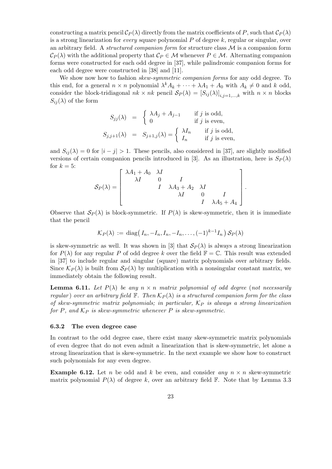constructing a matrix pencil  $C_P(\lambda)$  directly from the matrix coefficients of P, such that  $C_P(\lambda)$ is a strong linearization for *every* square polynomial *P* of degree *k*, regular or singular, over an arbitrary field. A *structured companion form* for structure class *M* is a companion form  $C_P(\lambda)$  with the additional property that  $C_P \in \mathcal{M}$  whenever  $P \in \mathcal{M}$ . Alternating companion forms were constructed for each odd degree in [37], while palindromic companion forms for each odd degree were constructed in [38] and [11].

We show now how to fashion *skew-symmetric companion forms* for any odd degree. To this end, for a general  $n \times n$  polynomial  $\lambda^k A_k + \cdots + \lambda A_1 + A_0$  with  $A_k \neq 0$  and  $k$  odd, consider the block-tridiagonal  $nk \times nk$  pencil  $S_P(\lambda) = [S_{ij}(\lambda)]_{i,j=1,\dots,k}$  with  $n \times n$  blocks  $S_{ij}(\lambda)$  of the form

$$
S_{jj}(\lambda) = \begin{cases} \lambda A_j + A_{j-1} & \text{if } j \text{ is odd,} \\ 0 & \text{if } j \text{ is even,} \end{cases}
$$
  

$$
S_{j,j+1}(\lambda) = S_{j+1,j}(\lambda) = \begin{cases} \lambda I_n & \text{if } j \text{ is odd,} \\ I_n & \text{if } j \text{ is even,} \end{cases}
$$

and  $S_{ij}(\lambda) = 0$  for  $|i - j| > 1$ . These pencils, also considered in [37], are slightly modified versions of certain companion pencils introduced in [3]. As an illustration, here is  $S_P(\lambda)$ for  $k = 5$ :

$$
\mathcal{S}_P(\lambda) = \begin{bmatrix} \lambda A_1 + A_0 & \lambda I & & & \\ \lambda I & 0 & I & & \\ & I & \lambda A_3 + A_2 & \lambda I & \\ & & \lambda I & 0 & I \\ & & & I & \lambda A_5 + A_4 \end{bmatrix}
$$

*.*

Observe that  $S_P(\lambda)$  is block-symmetric. If  $P(\lambda)$  is skew-symmetric, then it is immediate that the pencil

$$
\mathcal{K}_P(\lambda) := \text{diag}(I_n, -I_n, I_n, -I_n, \dots, (-1)^{k-1} I_n) \mathcal{S}_P(\lambda)
$$

is skew-symmetric as well. It was shown in [3] that  $\mathcal{S}_P(\lambda)$  is always a strong linearization for  $P(\lambda)$  for any regular P of odd degree k over the field  $\mathbb{F} = \mathbb{C}$ . This result was extended in [37] to include regular and singular (square) matrix polynomials over arbitrary fields. Since  $\mathcal{K}_P(\lambda)$  is built from  $\mathcal{S}_P(\lambda)$  by multiplication with a nonsingular constant matrix, we immediately obtain the following result.

**Lemma 6.11.** Let  $P(\lambda)$  be any  $n \times n$  matrix polynomial of odd degree (not necessarily *regular*) *over an arbitrary field*  $\mathbb{F}$ *. Then*  $\mathcal{K}_P(\lambda)$  *is a structured companion form for the class of skew-symmetric matrix polynomials; in particular, K<sup>P</sup> is always a strong linearization for*  $P$ *, and*  $K_P$  *is skew-symmetric whenever*  $P$  *is skew-symmetric.* 

#### **6.3.2 The even degree case**

In contrast to the odd degree case, there exist many skew-symmetric matrix polynomials of even degree that do not even admit a linearization that is skew-symmetric, let alone a strong linearization that is skew-symmetric. In the next example we show how to construct such polynomials for any even degree.

**Example 6.12.** Let *n* be odd and *k* be even, and consider *any*  $n \times n$  skew-symmetric matrix polynomial  $P(\lambda)$  of degree k, over an arbitrary field  $\mathbb F$ . Note that by Lemma 3.3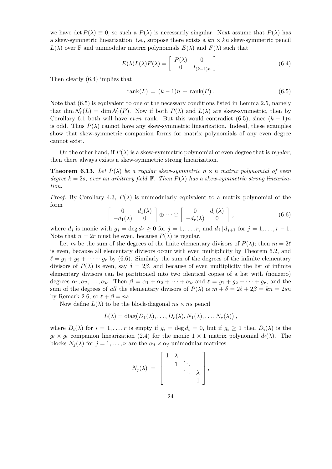we have det  $P(\lambda) \equiv 0$ , so such a  $P(\lambda)$  is necessarily singular. Next assume that  $P(\lambda)$  has a skew-symmetric linearization; i.e., suppose there exists a *kn × kn* skew-symmetric pencil  $L(\lambda)$  over **F** and unimodular matrix polynomials  $E(\lambda)$  and  $F(\lambda)$  such that

$$
E(\lambda)L(\lambda)F(\lambda) = \begin{bmatrix} P(\lambda) & 0 \\ 0 & I_{(k-1)n} \end{bmatrix}.
$$
 (6.4)

Then clearly (6.4) implies that

$$
rank(L) = (k-1)n + rank(P). \tag{6.5}
$$

Note that  $(6.5)$  is equivalent to one of the necessary conditions listed in Lemma 2.5, namely that dim  $\mathcal{N}_r(L) = \dim \mathcal{N}_r(P)$ . Now if both  $P(\lambda)$  and  $L(\lambda)$  are skew-symmetric, then by Corollary 6.1 both will have *even* rank. But this would contradict (6.5), since  $(k-1)n$ is odd. Thus  $P(\lambda)$  cannot have any skew-symmetric linearization. Indeed, these examples show that skew-symmetric companion forms for matrix polynomials of any even degree cannot exist.

On the other hand, if  $P(\lambda)$  is a skew-symmetric polynomial of even degree that is *regular*, then there always exists a skew-symmetric strong linearization.

**Theorem 6.13.** Let  $P(\lambda)$  be a regular skew-symmetric  $n \times n$  matrix polynomial of even *degree*  $k = 2s$ *, over an arbitrary field*  $\mathbb{F}$ *. Then*  $P(\lambda)$  *has a skew-symmetric strong linearization.*

*Proof.* By Corollary 4.3,  $P(\lambda)$  is unimodularly equivalent to a matrix polynomial of the form

$$
\left[\begin{array}{cc} 0 & d_1(\lambda) \\ -d_1(\lambda) & 0 \end{array}\right] \oplus \cdots \oplus \left[\begin{array}{cc} 0 & d_r(\lambda) \\ -d_r(\lambda) & 0 \end{array}\right],\tag{6.6}
$$

where  $d_j$  is monic with  $g_j = \deg d_j \geq 0$  for  $j = 1, \ldots, r$ , and  $d_j | d_{j+1}$  for  $j = 1, \ldots, r - 1$ . Note that  $n = 2r$  must be even, because  $P(\lambda)$  is regular.

Let *m* be the sum of the degrees of the finite elementary divisors of  $P(\lambda)$ ; then  $m = 2\ell$ is even, because all elementary divisors occur with even multiplicity by Theorem 6.2, and  $\ell = g_1 + g_2 + \cdots + g_r$  by (6.6). Similarly the sum of the degrees of the infinite elementary divisors of  $P(\lambda)$  is even, say  $\delta = 2\beta$ , and because of even multiplicity the list of infinite elementary divisors can be partitioned into two identical copies of a list with (nonzero) degrees  $\alpha_1, \alpha_2, \ldots, \alpha_\nu$ . Then  $\beta = \alpha_1 + \alpha_2 + \cdots + \alpha_\nu$  and  $\ell = g_1 + g_2 + \cdots + g_r$ , and the sum of the degrees of *all* the elementary divisors of  $P(\lambda)$  is  $m + \delta = 2\ell + 2\beta = kn = 2sn$ by Remark 2.6, so  $\ell + \beta = ns$ .

Now define  $L(\lambda)$  to be the block-diagonal  $ns \times ns$  pencil

$$
L(\lambda) = \mathrm{diag}(D_1(\lambda), \ldots, D_r(\lambda), N_1(\lambda), \ldots, N_\nu(\lambda)),
$$

where  $D_i(\lambda)$  for  $i = 1, \ldots, r$  is empty if  $g_i = \deg d_i = 0$ , but if  $g_i \geq 1$  then  $D_i(\lambda)$  is the  $g_i \times g_i$  companion linearization (2.4) for the monic  $1 \times 1$  matrix polynomial  $d_i(\lambda)$ . The blocks  $N_j(\lambda)$  for  $j = 1, ..., \nu$  are the  $\alpha_j \times \alpha_j$  unimodular matrices

$$
N_j(\lambda) = \left[\begin{array}{cccc} 1 & \lambda & & \\ & 1 & \ddots & \\ & & \ddots & \lambda \\ & & & 1 \end{array}\right],
$$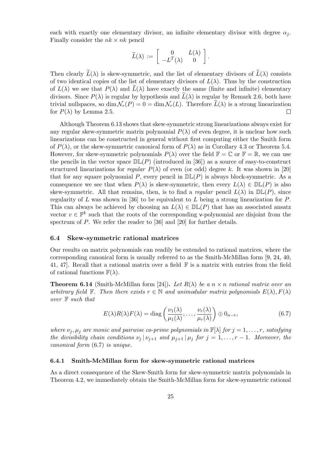each with exactly one elementary divisor, an infinite elementary divisor with degree  $\alpha_i$ . Finally consider the  $nk \times nk$  pencil

$$
\widetilde{L}(\lambda) \,:=\, \left[\begin{array}{cc} 0 & L(\lambda) \\ -L^T(\lambda) & 0 \end{array}\right].
$$

Then clearly  $\tilde{L}(\lambda)$  is skew-symmetric, and the list of elementary divisors of  $\tilde{L}(\lambda)$  consists of two identical copies of the list of elementary divisors of  $L(\lambda)$ . Thus by the construction of  $L(\lambda)$  we see that  $P(\lambda)$  and  $L(\lambda)$  have exactly the same (finite and infinite) elementary divisors. Since  $P(\lambda)$  is regular by hypothesis and  $L(\lambda)$  is regular by Remark 2.6, both have trivial nullspaces, so dim  $\mathcal{N}_r(P) = 0 = \dim \mathcal{N}_r(L)$ . Therefore  $\bar{L}(\lambda)$  is a strong linearization for  $P(\lambda)$  by Lemma 2.5. for  $P(\lambda)$  by Lemma 2.5.

Although Theorem 6.13 shows that skew-symmetric strong linearizations always exist for any regular skew-symmetric matrix polynomial  $P(\lambda)$  of even degree, it is unclear how such linearizations can be constructed in general without first computing either the Smith form of  $P(\lambda)$ , or the skew-symmetric canonical form of  $P(\lambda)$  as in Corollary 4.3 or Theorem 5.4. However, for skew-symmetric polynomials  $P(\lambda)$  over the field  $\mathbb{F} = \mathbb{C}$  or  $\mathbb{F} = \mathbb{R}$ , we can use the pencils in the vector space  $\mathbb{DL}(P)$  (introduced in [36]) as a source of easy-to-construct structured linearizations for *regular*  $P(\lambda)$  of even (or odd) degree k. It was shown in [20] that for any square polynomial *P*, every pencil in  $\mathbb{DL}(P)$  is always block-symmetric. As a consequence we see that when  $P(\lambda)$  is skew-symmetric, then every  $L(\lambda) \in \mathbb{DL}(P)$  is also skew-symmetric. All that remains, then, is to find a *regular* pencil  $L(\lambda)$  in  $\mathbb{DL}(P)$ , since regularity of *L* was shown in [36] to be equivalent to *L* being a strong linearization for *P*. This can always be achieved by choosing an  $L(\lambda) \in \mathbb{DL}(P)$  that has an associated ansatz vector  $v \in \mathbb{F}^k$  such that the roots of the corresponding v-polynomial are disjoint from the spectrum of *P*. We refer the reader to [36] and [20] for further details.

### **6.4 Skew-symmetric rational matrices**

Our results on matrix polynomials can readily be extended to rational matrices, where the corresponding canonical form is usually referred to as the Smith-McMillan form [9, 24, 40, 41, 47]. Recall that a rational matrix over a field  $\mathbb F$  is a matrix with entries from the field of rational functions  $\mathbb{F}(\lambda)$ .

**Theorem 6.14** (Smith-McMillan form [24]). Let  $R(\lambda)$  be a  $n \times n$  rational matrix over an *arbitrary field*  $\mathbb{F}$ *. Then there exists*  $r \in \mathbb{N}$  *and unimodular matrix polynomials*  $E(\lambda)$ *,*  $F(\lambda)$ *over* F *such that*

$$
E(\lambda)R(\lambda)F(\lambda) = \text{diag}\left(\frac{\nu_1(\lambda)}{\mu_1(\lambda)}, \dots, \frac{\nu_r(\lambda)}{\mu_r(\lambda)}\right) \oplus 0_{n-r},\tag{6.7}
$$

*where*  $\nu_j$ ,  $\mu_j$  are monic and pairwise co-prime polynomials in  $\mathbb{F}[\lambda]$  for  $j = 1, \ldots, r$ , satisfying *the divisibility chain conditions*  $\nu_j |\nu_{j+1}$  *and*  $\mu_{j+1} |\mu_j$  *for*  $j = 1, \ldots, r - 1$ *. Moreover, the canonical form* (6.7) *is unique.*

#### **6.4.1 Smith-McMillan form for skew-symmetric rational matrices**

As a direct consequence of the Skew-Smith form for skew-symmetric matrix polynomials in Theorem 4.2, we immediately obtain the Smith-McMillan form for skew-symmetric rational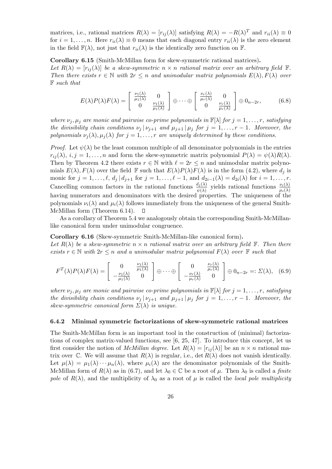matrices, i.e., rational matrices  $R(\lambda) = [r_{ij}(\lambda)]$  satisfying  $R(\lambda) = -R(\lambda)^T$  and  $r_{ii}(\lambda) \equiv 0$ for  $i = 1, \ldots, n$ . Here  $r_{ii}(\lambda) \equiv 0$  means that each diagonal entry  $r_{ii}(\lambda)$  is the zero element in the field  $\mathbb{F}(\lambda)$ , not just that  $r_{ii}(\lambda)$  is the identically zero function on  $\mathbb{F}$ .

**Corollary 6.15** (Smith-McMillan form for skew-symmetric rational matrices)**.** *Let*  $R(\lambda) = [r_{ij}(\lambda)]$  *be a skew-symmetric*  $n \times n$  *rational matrix over an arbitrary field*  $\mathbb{F}$ *. Then there exists*  $r \in \mathbb{N}$  *with*  $2r \leq n$  *and unimodular matrix polynomials*  $E(\lambda), F(\lambda)$  *over* F *such that*

$$
E(\lambda)P(\lambda)F(\lambda) = \begin{bmatrix} \frac{\nu_1(\lambda)}{\mu_1(\lambda)} & 0\\ 0 & \frac{\nu_1(\lambda)}{\mu_1(\lambda)} \end{bmatrix} \oplus \cdots \oplus \begin{bmatrix} \frac{\nu_r(\lambda)}{\mu_r(\lambda)} & 0\\ 0 & \frac{\nu_r(\lambda)}{\mu_r(\lambda)} \end{bmatrix} \oplus 0_{n-2r},
$$
(6.8)

*where*  $\nu_i, \mu_j$  *are monic and pairwise co-prime polynomials in*  $\mathbb{F}[\lambda]$  *for*  $j = 1, \ldots, r$ *, satisfying the divisibility chain conditions*  $\nu_j |\nu_{j+1}$  *and*  $\mu_{j+1} |\mu_j$  *for*  $j = 1, \ldots, r - 1$ *. Moreover, the polynomials*  $\nu_j(\lambda)$ ,  $\mu_j(\lambda)$  *for*  $j = 1, \ldots, r$  *are uniquely determined by these conditions.* 

*Proof.* Let  $\psi(\lambda)$  be the least common multiple of all denominator polynomials in the entries  $r_{ij}(\lambda)$ ,  $i, j = 1, \ldots, n$  and form the skew-symmetric matrix polynomial  $P(\lambda) = \psi(\lambda)R(\lambda)$ . Then by Theorem 4.2 there exists  $r \in \mathbb{N}$  with  $\ell = 2r \leq n$  and unimodular matrix polynomials  $E(\lambda)$ ,  $F(\lambda)$  over the field  $\mathbb F$  such that  $E(\lambda)P(\lambda)F(\lambda)$  is in the form (4.2), where  $d_i$  is monic for  $j = 1, ..., \ell$ ,  $d_j | d_{j+1}$  for  $j = 1, ..., \ell - 1$ , and  $d_{2i-1}(\lambda) = d_{2i}(\lambda)$  for  $i = 1, ..., r$ . Cancelling common factors in the rational functions  $\frac{d_j(\lambda)}{\psi(\lambda)}$  yields rational functions  $\frac{\nu_i(\lambda)}{\mu_i(\lambda)}$ having numerators and denominators with the desired properties. The uniqueness of the polynomials  $\nu_i(\lambda)$  and  $\mu_i(\lambda)$  follows immediately from the uniqueness of the general Smith-McMillan form (Theorem 6.14).  $\Box$ 

As a corollary of Theorem 5.4 we analogously obtain the corresponding Smith-McMillanlike canonical form under unimodular congruence.

**Corollary 6.16** (Skew-symmetric Smith-McMillan-like canonical form)**.** Let  $R(\lambda)$  be a skew-symmetric  $n \times n$  rational matrix over an arbitrary field  $\mathbb{F}$ . Then there *exists*  $r \in \mathbb{N}$  *with*  $2r \leq n$  *and a unimodular matrix polynomial*  $F(\lambda)$  *over*  $\mathbb{F}$  *such that* 

$$
F^{T}(\lambda)P(\lambda)F(\lambda) = \begin{bmatrix} 0 & \frac{\nu_{1}(\lambda)}{\mu_{1}(\lambda)} \\ -\frac{\nu_{1}(\lambda)}{\mu_{1}(\lambda)} & 0 \end{bmatrix} \oplus \cdots \oplus \begin{bmatrix} 0 & \frac{\nu_{r}(\lambda)}{\mu_{r}(\lambda)} \\ -\frac{\nu_{r}(\lambda)}{\mu_{r}(\lambda)} & 0 \end{bmatrix} \oplus 0_{n-2r} =: \Sigma(\lambda), (6.9)
$$

*where*  $\nu_j$ ,  $\mu_j$  are monic and pairwise co-prime polynomials in  $\mathbb{F}[\lambda]$  *for*  $j = 1, \ldots, r$ *, satisfying the divisibility chain conditions*  $\nu_j | \nu_{j+1}$  *and*  $\mu_{j+1} | \mu_j$  *for*  $j = 1, \ldots, r-1$ *. Moreover, the skew-symmetric canonical form*  $\Sigma(\lambda)$  *is unique.* 

### **6.4.2 Minimal symmetric factorizations of skew-symmetric rational matrices**

The Smith-McMillan form is an important tool in the construction of (minimal) factorizations of complex matrix-valued functions, see [6, 25, 47]. To introduce this concept, let us first consider the notion of *McMillan degree*. Let  $R(\lambda) = [r_{ij}(\lambda)]$  be an  $n \times n$  rational matrix over  $\mathbb C$ . We will assume that  $R(\lambda)$  is regular, i.e., det  $R(\lambda)$  does not vanish identically. Let  $\mu(\lambda) = \mu_1(\lambda) \cdots \mu_n(\lambda)$ , where  $\mu_i(\lambda)$  are the denominator polynomials of the Smith-McMillan form of  $R(\lambda)$  as in (6.7), and let  $\lambda_0 \in \mathbb{C}$  be a root of  $\mu$ . Then  $\lambda_0$  is called a *finite pole* of  $R(\lambda)$ , and the multiplicity of  $\lambda_0$  as a root of  $\mu$  is called the *local pole multiplicity*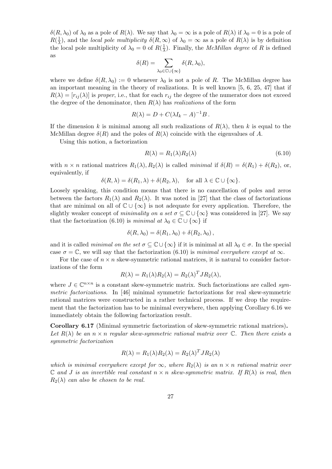*δ*(*R*,  $\lambda$ <sub>0</sub>) of  $\lambda$ <sub>0</sub> as a pole of *R*( $\lambda$ ). We say that  $\lambda$ <sub>0</sub> =  $\infty$  is a pole of *R*( $\lambda$ ) if  $\lambda$ <sub>0</sub> = 0 is a pole of  $R(\frac{1}{\lambda})$ *λ*), and the *local pole multiplicity*  $\delta(R, \infty)$  of  $\lambda_0 = \infty$  as a pole of  $R(\lambda)$  is by definition the local pole multiplicity of  $\lambda_0 = 0$  of  $R(\frac{1}{\lambda})$  $\frac{1}{\lambda}$ ). Finally, the *McMillan degree* of *R* is defined as

$$
\delta(R) = \sum_{\lambda_0 \in \mathbb{C} \cup \{\infty\}} \delta(R, \lambda_0),
$$

where we define  $\delta(R, \lambda_0) := 0$  whenever  $\lambda_0$  is not a pole of R. The McMillan degree has an important meaning in the theory of realizations. It is well known [5, 6, 25, 47] that if  $R(\lambda) = [r_{ij}(\lambda)]$  is *proper*, i.e., that for each  $r_{ij}$  the degree of the numerator does not exceed the degree of the denominator, then  $R(\lambda)$  has *realizations* of the form

$$
R(\lambda) = D + C(\lambda I_k - A)^{-1}B.
$$

If the dimension *k* is minimal among all such realizations of  $R(\lambda)$ , then *k* is equal to the McMillan degree  $\delta(R)$  and the poles of  $R(\lambda)$  coincide with the eigenvalues of A.

Using this notion, a factorization

$$
R(\lambda) = R_1(\lambda) R_2(\lambda) \tag{6.10}
$$

with  $n \times n$  rational matrices  $R_1(\lambda), R_2(\lambda)$  is called *minimal* if  $\delta(R) = \delta(R_1) + \delta(R_2)$ , or, equivalently, if

$$
\delta(R,\lambda) = \delta(R_1,\lambda) + \delta(R_2,\lambda), \text{ for all } \lambda \in \mathbb{C} \cup \{\infty\}.
$$

Loosely speaking, this condition means that there is no cancellation of poles and zeros between the factors  $R_1(\lambda)$  and  $R_2(\lambda)$ . It was noted in [27] that the class of factorizations that are minimal on all of C *∪ {∞}* is not adequate for every application. Therefore, the slightly weaker concept of *minimality on a set*  $\sigma \subseteq \mathbb{C} \cup \{\infty\}$  was considered in [27]. We say that the factorization (6.10) is *minimal at*  $\lambda_0 \in \mathbb{C} \cup \{\infty\}$  if

$$
\delta(R, \lambda_0) = \delta(R_1, \lambda_0) + \delta(R_2, \lambda_0),
$$

and it is called *minimal on the set*  $\sigma \subseteq \mathbb{C} \cup \{\infty\}$  if it is minimal at all  $\lambda_0 \in \sigma$ . In the special case  $\sigma = \mathbb{C}$ , we will say that the factorization (6.10) is *minimal everywhere except at*  $\infty$ .

For the case of  $n \times n$  skew-symmetric rational matrices, it is natural to consider factorizations of the form

$$
R(\lambda) = R_1(\lambda) R_2(\lambda) = R_2(\lambda)^T J R_2(\lambda),
$$

where  $J \in \mathbb{C}^{n \times n}$  is a constant skew-symmetric matrix. Such factorizations are called *symmetric factorizations*. In [46] minimal symmetric factorizations for real skew-symmetric rational matrices were constructed in a rather technical process. If we drop the requirement that the factorization has to be minimal everywhere, then applying Corollary 6.16 we immediately obtain the following factorization result.

**Corollary 6.17** (Minimal symmetric factorization of skew-symmetric rational matrices)**.** *Let*  $R(\lambda)$  *be an*  $n \times n$  *regular skew-symmetric rational matrix over*  $\mathbb{C}$ *. Then there exists a symmetric factorization*

$$
R(\lambda) = R_1(\lambda) R_2(\lambda) = R_2(\lambda)^T J R_2(\lambda)
$$

*which is minimal everywhere except for*  $\infty$ *, where*  $R_2(\lambda)$  *is an*  $n \times n$  *rational matrix over*  $\mathbb{C}$  *and J is an invertible real constant*  $n \times n$  *skew-symmetric matrix. If*  $R(\lambda)$  *is real, then*  $R_2(\lambda)$  *can also be chosen to be real.*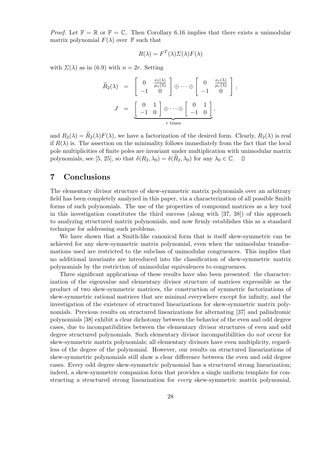*Proof.* Let  $\mathbb{F} = \mathbb{R}$  or  $\mathbb{F} = \mathbb{C}$ . Then Corollary 6.16 implies that there exists a unimodular matrix polynomial  $F(\lambda)$  over  $\mathbb F$  such that

$$
R(\lambda) = F^T(\lambda) \Sigma(\lambda) F(\lambda)
$$

with  $\Sigma(\lambda)$  as in (6.9) with  $n = 2r$ . Setting

$$
\widetilde{R}_2(\lambda) = \begin{bmatrix} 0 & \frac{\nu_1(\lambda)}{\mu_1(\lambda)} \\ -1 & 0 \end{bmatrix} \oplus \cdots \oplus \begin{bmatrix} 0 & \frac{\nu_r(\lambda)}{\mu_r(\lambda)} \\ -1 & 0 \end{bmatrix},
$$

$$
J = \underbrace{\begin{bmatrix} 0 & 1 \\ -1 & 0 \end{bmatrix}}_{r \text{ times}} \oplus \underbrace{\begin{bmatrix} 0 & 1 \\ -1 & 0 \end{bmatrix}}_{r \text{ times}},
$$

and  $R_2(\lambda) = \widetilde{R}_2(\lambda) F(\lambda)$ , we have a factorization of the desired form. Clearly,  $R_2(\lambda)$  is real if  $R(\lambda)$  is. The assertion on the minimality follows immediately from the fact that the local pole multiplicities of finite poles are invariant under multiplication with unimodular matrix polynomials, see [5, 25], so that  $\delta(R_2, \lambda_0) = \delta(R_2, \lambda_0)$  for any  $\lambda_0 \in \mathbb{C}$ .  $\Box$ 

### **7 Conclusions**

The elementary divisor structure of skew-symmetric matrix polynomials over an arbitrary field has been completely analyzed in this paper, via a characterization of all possible Smith forms of such polynomials. The use of the properties of compound matrices as a key tool in this investigation constitutes the third success (along with [37, 38]) of this approach to analyzing structured matrix polynomials, and now firmly establishes this as a standard technique for addressing such problems.

We have shown that a Smith-like canonical form that is itself skew-symmetric can be achieved for any skew-symmetric matrix polynomial, even when the unimodular transformations used are restricted to the subclass of unimodular congruences. This implies that no additional invariants are introduced into the classification of skew-symmetric matrix polynomials by the restriction of unimodular equivalences to congruences.

Three significant applications of these results have also been presented: the characterization of the eigenvalue and elementary divisor structure of matrices expressible as the product of two skew-symmetric matrices, the construction of symmetric factorizations of skew-symmetric rational matrices that are minimal everywhere except for infinity, and the investigation of the existence of structured linearizations for skew-symmetric matrix polynomials. Previous results on structured linearizations for alternating [37] and palindromic polynomials [38] exhibit a clear dichotomy between the behavior of the even and odd degree cases, due to incompatibilities between the elementary divisor structures of even and odd degree structured polynomials. Such elementary divisor incompatibilities do *not* occur for skew-symmetric matrix polynomials; all elementary divisors have even multiplicity, regardless of the degree of the polynomial. However, our results on structured linearizations of skew-symmetric polynomials still show a clear difference between the even and odd degree cases. Every odd degree skew-symmetric polynomial has a structured strong linearization; indeed, a skew-symmetric companion form that provides a single uniform template for constructing a structured strong linearization for *every* skew-symmetric matrix polynomial,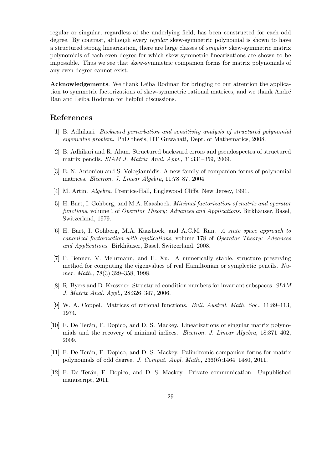regular or singular, regardless of the underlying field, has been constructed for each odd degree. By contrast, although every *regular* skew-symmetric polynomial is shown to have a structured strong linearization, there are large classes of *singular* skew-symmetric matrix polynomials of each even degree for which skew-symmetric linearizations are shown to be impossible. Thus we see that skew-symmetric companion forms for matrix polynomials of any even degree cannot exist.

**Acknowledgements**. We thank Leiba Rodman for bringing to our attention the application to symmetric factorizations of skew-symmetric rational matrices, and we thank André Ran and Leiba Rodman for helpful discussions.

# **References**

- [1] B. Adhikari. *Backward perturbation and sensitivity analysis of structured polynomial eigenvalue problem*. PhD thesis, IIT Guwahati, Dept. of Mathematics, 2008.
- [2] B. Adhikari and R. Alam. Structured backward errors and pseudospectra of structured matrix pencils. *SIAM J. Matrix Anal. Appl.*, 31:331–359, 2009.
- [3] E. N. Antoniou and S. Vologiannidis. A new family of companion forms of polynomial matrices. *Electron. J. Linear Algebra*, 11:78–87, 2004.
- [4] M. Artin. *Algebra*. Prentice-Hall, Englewood Cliffs, New Jersey, 1991.
- [5] H. Bart, I. Gohberg, and M.A. Kaashoek. *Minimal factorization of matrix and operator functions*, volume 1 of *Operator Theory: Advances and Applications*. Birkhäuser, Basel, Switzerland, 1979.
- [6] H. Bart, I. Gohberg, M.A. Kaashoek, and A.C.M. Ran. *A state space approach to canonical factorization with applications*, volume 178 of *Operator Theory: Advances* and Applications. Birkhäuser, Basel, Switzerland, 2008.
- [7] P. Benner, V. Mehrmann, and H. Xu. A numerically stable, structure preserving method for computing the eigenvalues of real Hamiltonian or symplectic pencils. *Numer. Math.*, 78(3):329–358, 1998.
- [8] R. Byers and D. Kressner. Structured condition numbers for invariant subspaces. *SIAM J. Matrix Anal. Appl.*, 28:326–347, 2006.
- [9] W. A. Coppel. Matrices of rational functions. *Bull. Austral. Math. Soc.*, 11:89–113, 1974.
- [10] F. De Terán, F. Dopico, and D. S. Mackey. Linearizations of singular matrix polynomials and the recovery of minimal indices. *Electron. J. Linear Algebra*, 18:371–402, 2009.
- [11] F. De Terán, F. Dopico, and D. S. Mackey. Palindromic companion forms for matrix polynomials of odd degree. *J. Comput. Appl. Math.*, 236(6):1464–1480, 2011.
- [12] F. De Terán, F. Dopico, and D. S. Mackey. Private communication. Unpublished manuscript, 2011.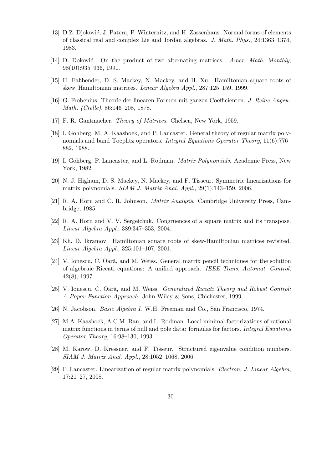- [13] D.Z. Djoković, J. Patera, P. Winternitz, and H. Zassenhaus. Normal forms of elements of classical real and complex Lie and Jordan algebras. *J. Math. Phys.*, 24:1363–1374, 1983.
- [14] D. Doković. On the product of two alternating matrices. Amer. Math. Monthly, 98(10):935–936, 1991.
- [15] H. Faßbender, D. S. Mackey, N. Mackey, and H. Xu. Hamiltonian square roots of skew–Hamiltonian matrices. *Linear Algebra Appl.*, 287:125–159, 1999.
- [16] G. Frobenius. Theorie der linearen Formen mit ganzen Coefficienten. *J. Reine Angew. Math. (Crelle)*, 86:146–208, 1878.
- [17] F. R. Gantmacher. *Theory of Matrices*. Chelsea, New York, 1959.
- [18] I. Gohberg, M. A. Kaashoek, and P. Lancaster. General theory of regular matrix polynomials and band Toeplitz operators. *Integral Equations Operator Theory*, 11(6):776– 882, 1988.
- [19] I. Gohberg, P. Lancaster, and L. Rodman. *Matrix Polynomials*. Academic Press, New York, 1982.
- [20] N. J. Higham, D. S. Mackey, N. Mackey, and F. Tisseur. Symmetric linearizations for matrix polynomials. *SIAM J. Matrix Anal. Appl.*, 29(1):143–159, 2006.
- [21] R. A. Horn and C. R. Johnson. *Matrix Analysis*. Cambridge University Press, Cambridge, 1985.
- [22] R. A. Horn and V. V. Sergeichuk. Congruences of a square matrix and its transpose. *Linear Algebra Appl.*, 389:347–353, 2004.
- [23] Kh. D. Ikramov. Hamiltonian square roots of skew-Hamiltonian matrices revisited. *Linear Algebra Appl.*, 325:101–107, 2001.
- [24] V. Ionescu, C. Oară, and M. Weiss. General matrix pencil techniques for the solution of algebraic Riccati equations: A unified approach. *IEEE Trans. Automat. Control*, 42(8), 1997.
- [25] V. Ionescu, C. Oară, and M. Weiss. *Generalized Riccati Theory and Robust Control: A Popov Function Approach*. John Wiley & Sons, Chichester, 1999.
- [26] N. Jacobson. *Basic Algebra I*. W.H. Freeman and Co., San Francisco, 1974.
- [27] M.A. Kaashoek, A.C.M. Ran, and L. Rodman. Local minimal factorizations of rational matrix functions in terms of null and pole data: formulas for factors. *Integral Equations Operator Theory*, 16:98–130, 1993.
- [28] M. Karow, D. Kressner, and F. Tisseur. Structured eigenvalue condition numbers. *SIAM J. Matrix Anal. Appl.*, 28:1052–1068, 2006.
- [29] P. Lancaster. Linearization of regular matrix polynomials. *Electron. J. Linear Algebra*, 17:21–27, 2008.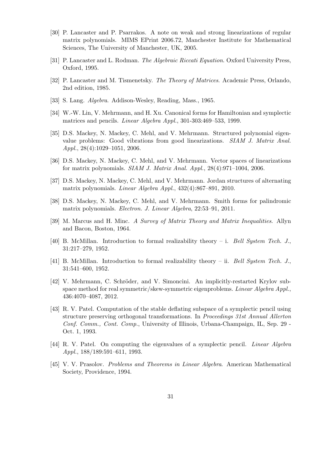- [30] P. Lancaster and P. Psarrakos. A note on weak and strong linearizations of regular matrix polynomials. MIMS EPrint 2006.72, Manchester Institute for Mathematical Sciences, The University of Manchester, UK, 2005.
- [31] P. Lancaster and L. Rodman. *The Algebraic Riccati Equation*. Oxford University Press, Oxford, 1995.
- [32] P. Lancaster and M. Tismenetsky. *The Theory of Matrices*. Academic Press, Orlando, 2nd edition, 1985.
- [33] S. Lang. *Algebra*. Addison-Wesley, Reading, Mass., 1965.
- [34] W.-W. Lin, V. Mehrmann, and H. Xu. Canonical forms for Hamiltonian and symplectic matrices and pencils. *Linear Algebra Appl.*, 301-303:469–533, 1999.
- [35] D.S. Mackey, N. Mackey, C. Mehl, and V. Mehrmann. Structured polynomial eigenvalue problems: Good vibrations from good linearizations. *SIAM J. Matrix Anal. Appl.*, 28(4):1029–1051, 2006.
- [36] D.S. Mackey, N. Mackey, C. Mehl, and V. Mehrmann. Vector spaces of linearizations for matrix polynomials. *SIAM J. Matrix Anal. Appl.*, 28(4):971–1004, 2006.
- [37] D.S. Mackey, N. Mackey, C. Mehl, and V. Mehrmann. Jordan structures of alternating matrix polynomials. *Linear Algebra Appl.*, 432(4):867–891, 2010.
- [38] D.S. Mackey, N. Mackey, C. Mehl, and V. Mehrmann. Smith forms for palindromic matrix polynomials. *Electron. J. Linear Algebra*, 22:53–91, 2011.
- [39] M. Marcus and H. Minc. *A Survey of Matrix Theory and Matrix Inequalities*. Allyn and Bacon, Boston, 1964.
- [40] B. McMillan. Introduction to formal realizability theory i. *Bell System Tech. J.*, 31:217–279, 1952.
- [41] B. McMillan. Introduction to formal realizability theory ii. *Bell System Tech. J.*, 31:541–600, 1952.
- [42] V. Mehrmann, C. Schröder, and V. Simoncini. An implicitly-restarted Krylov subspace method for real symmetric/skew-symmetric eigenproblems. *Linear Algebra Appl.*, 436:4070–4087, 2012.
- [43] R. V. Patel. Computation of the stable deflating subspace of a symplectic pencil using structure preserving orthogonal transformations. In *Proceedings 31st Annual Allerton Conf. Comm., Cont. Comp.*, University of Illinois, Urbana-Champaign, IL, Sep. 29 - Oct. 1, 1993.
- [44] R. V. Patel. On computing the eigenvalues of a symplectic pencil. *Linear Algebra Appl.*, 188/189:591–611, 1993.
- [45] V. V. Prasolov. *Problems and Theorems in Linear Algebra*. American Mathematical Society, Providence, 1994.